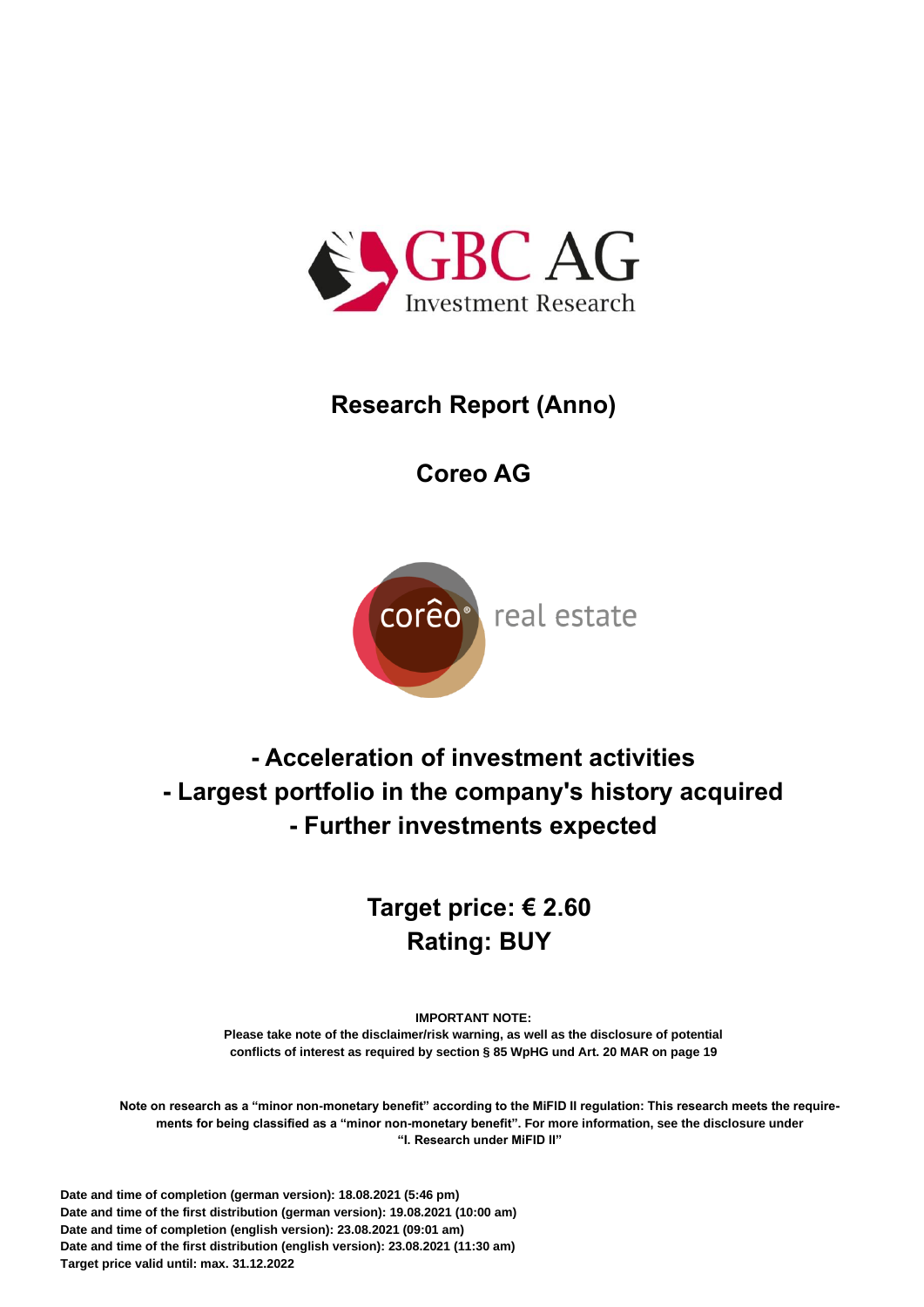

# **Research Report (Anno)**

# **Coreo AG**



**- Acceleration of investment activities - Largest portfolio in the company's history acquired - Further investments expected**

# **Target price: € 2.60 Rating: BUY**

**IMPORTANT NOTE:**

**Please take note of the disclaimer/risk warning, as well as the disclosure of potential conflicts of interest as required by section § 85 WpHG und Art. 20 MAR on pag[e 19](#page-19-0)**

**Note on research as a "minor non-monetary benefit" according to the MiFID II regulation: This research meets the requirements for being classified as a "minor non-monetary benefit". For more information, see the disclosure under "I. Research under MiFID II"**

**Date and time of completion (german version): 18.08.2021 (5:46 pm) Date and time of the first distribution (german version): 19.08.2021 (10:00 am) Date and time of completion (english version): 23.08.2021 (09:01 am) Date and time of the first distribution (english version): 23.08.2021 (11:30 am) Target price valid until: max. 31.12.2022**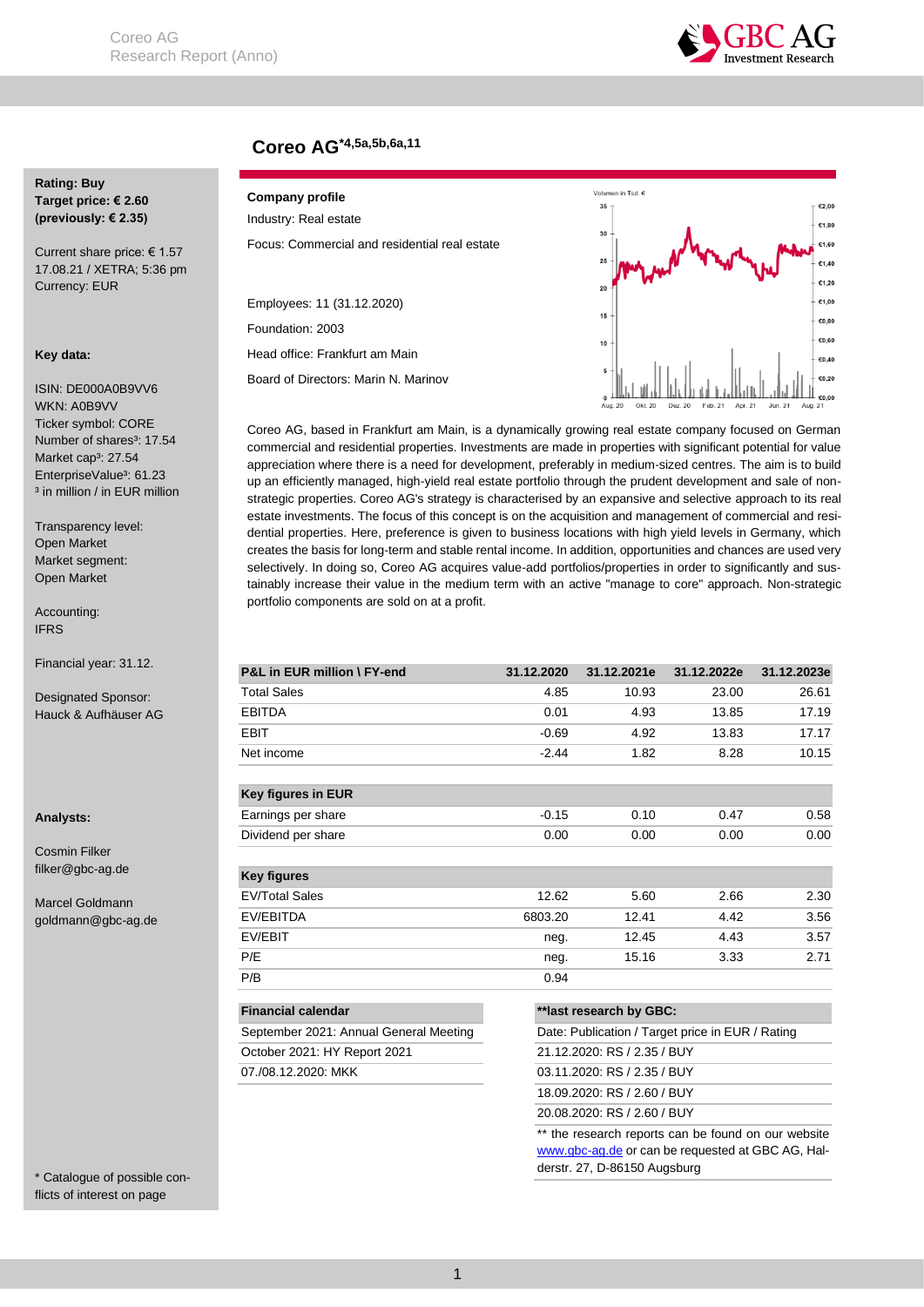

# **Coreo AG\*4,5a,5b,6a,11**

## **Rating: Buy Target price: € 2.60 (previously: € 2.35)**

Current share price: € 1.57 17.08.21 / XETRA; 5:36 pm Currency: EUR

#### **Key data:**

ISIN: DE000A0B9VV6 WKN: A0B9VV Ticker symbol: CORE Number of shares<sup>3</sup>: 17.54 Market cap<sup>3</sup>: 27.54 EnterpriseValue<sup>3</sup>: 61.23 <sup>3</sup> in million / in EUR million

Transparency level: Open Market Market segment: Open Market

Accounting: IFRS

Financial year: 31.12.

Designated Sponsor: Hauck & Aufhäuser AG

#### **Analysts:**

Cosmin Filker filker@gbc-ag.de

Marcel Goldmann goldmann@gbc-ag.de

\* Catalogue of possible conflicts of interest on page

**Fehler! Textmarke nicht** 

## **Company profile** Industry: Real estate

| Focus: Commercial and residential real estate |  |  |
|-----------------------------------------------|--|--|

Employees: 11 (31.12.2020) Foundation: 2003 Head office: Frankfurt am Main

Board of Directors: Marin N. Marinov



Coreo AG, based in Frankfurt am Main, is a dynamically growing real estate company focused on German commercial and residential properties. Investments are made in properties with significant potential for value appreciation where there is a need for development, preferably in medium-sized centres. The aim is to build up an efficiently managed, high-yield real estate portfolio through the prudent development and sale of nonstrategic properties. Coreo AG's strategy is characterised by an expansive and selective approach to its real estate investments. The focus of this concept is on the acquisition and management of commercial and residential properties. Here, preference is given to business locations with high yield levels in Germany, which creates the basis for long-term and stable rental income. In addition, opportunities and chances are used very selectively. In doing so, Coreo AG acquires value-add portfolios/properties in order to significantly and sustainably increase their value in the medium term with an active "manage to core" approach. Non-strategic portfolio components are sold on at a profit.

| P&L in EUR million \ FY-end            | 31.12.2020                  | 31.12.2021e                                         | 31.12.2022e | 31.12.2023e |  |  |
|----------------------------------------|-----------------------------|-----------------------------------------------------|-------------|-------------|--|--|
| <b>Total Sales</b>                     | 4.85                        | 10.93                                               | 23.00       | 26.61       |  |  |
| <b>EBITDA</b>                          | 0.01                        | 4.93                                                | 13.85       | 17.19       |  |  |
| EBIT                                   | $-0.69$                     | 4.92                                                | 13.83       | 17.17       |  |  |
| Net income                             | $-2.44$                     | 1.82                                                | 8.28        | 10.15       |  |  |
| <b>Key figures in EUR</b>              |                             |                                                     |             |             |  |  |
| Earnings per share                     | $-0.15$                     | 0.10                                                | 0.47        | 0.58        |  |  |
| Dividend per share                     | 0.00                        | 0.00                                                | 0.00        | 0.00        |  |  |
| <b>Key figures</b>                     |                             |                                                     |             |             |  |  |
| <b>EV/Total Sales</b>                  | 12.62                       | 5.60                                                | 2.66        | 2.30        |  |  |
| EV/EBITDA                              | 6803.20                     | 12.41                                               | 4.42        | 3.56        |  |  |
| EV/EBIT                                | neg.                        | 12.45                                               | 4.43        | 3.57        |  |  |
| P/E                                    | neg.                        | 15.16                                               | 3.33        | 2.71        |  |  |
| P/B                                    | 0.94                        |                                                     |             |             |  |  |
| <b>Financial calendar</b>              |                             | **last research by GBC:                             |             |             |  |  |
| September 2021: Annual General Meeting |                             | Date: Publication / Target price in EUR / Rating    |             |             |  |  |
| October 2021: HY Report 2021           |                             | 21.12.2020: RS / 2.35 / BUY                         |             |             |  |  |
| 07./08.12.2020: MKK                    |                             | 03.11.2020: RS / 2.35 / BUY                         |             |             |  |  |
|                                        | 18.09.2020: RS / 2.60 / BUY |                                                     |             |             |  |  |
|                                        |                             | 20.08.2020: RS / 2.60 / BUY                         |             |             |  |  |
|                                        |                             | ** the research reports can be found on our website |             |             |  |  |

[www.gbc-ag.de](http://www.gbc-ag.de/) or can be requested at GBC AG, Halderstr. 27, D-86150 Augsburg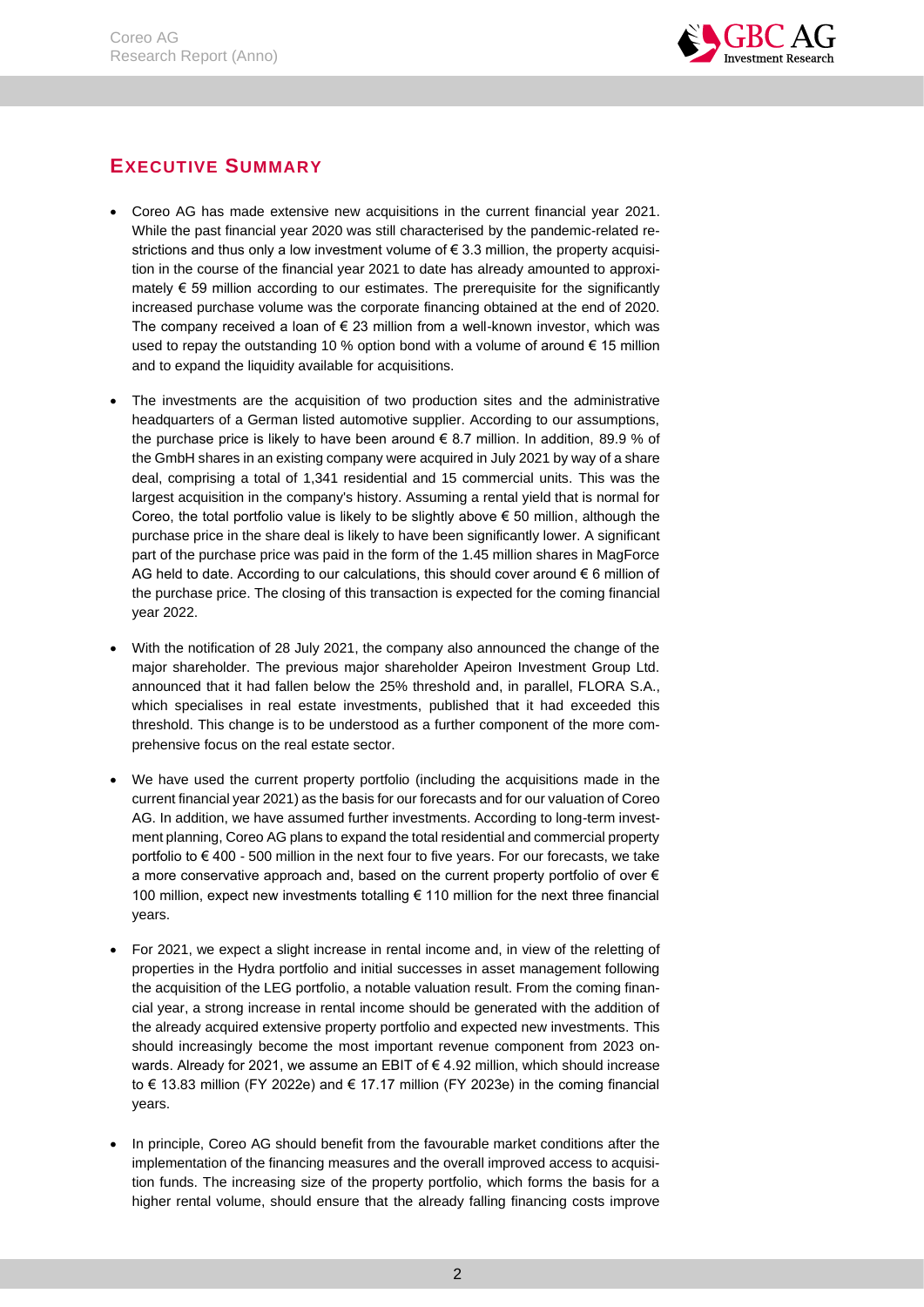

# <span id="page-2-0"></span>**EXECUTIVE SUMMARY**

- Coreo AG has made extensive new acquisitions in the current financial year 2021. While the past financial year 2020 was still characterised by the pandemic-related restrictions and thus only a low investment volume of € 3.3 million, the property acquisition in the course of the financial year 2021 to date has already amounted to approximately  $\epsilon$  59 million according to our estimates. The prerequisite for the significantly increased purchase volume was the corporate financing obtained at the end of 2020. The company received a loan of  $\epsilon$  23 million from a well-known investor, which was used to repay the outstanding 10 % option bond with a volume of around € 15 million and to expand the liquidity available for acquisitions.
- The investments are the acquisition of two production sites and the administrative headquarters of a German listed automotive supplier. According to our assumptions, the purchase price is likely to have been around  $\epsilon$  8.7 million. In addition, 89.9 % of the GmbH shares in an existing company were acquired in July 2021 by way of a share deal, comprising a total of 1,341 residential and 15 commercial units. This was the largest acquisition in the company's history. Assuming a rental yield that is normal for Coreo, the total portfolio value is likely to be slightly above € 50 million, although the purchase price in the share deal is likely to have been significantly lower. A significant part of the purchase price was paid in the form of the 1.45 million shares in MagForce AG held to date. According to our calculations, this should cover around  $\epsilon$  6 million of the purchase price. The closing of this transaction is expected for the coming financial year 2022.
- With the notification of 28 July 2021, the company also announced the change of the major shareholder. The previous major shareholder Apeiron Investment Group Ltd. announced that it had fallen below the 25% threshold and, in parallel, FLORA S.A., which specialises in real estate investments, published that it had exceeded this threshold. This change is to be understood as a further component of the more comprehensive focus on the real estate sector.
- We have used the current property portfolio (including the acquisitions made in the current financial year 2021) as the basis for our forecasts and for our valuation of Coreo AG. In addition, we have assumed further investments. According to long-term investment planning, Coreo AG plans to expand the total residential and commercial property portfolio to € 400 - 500 million in the next four to five years. For our forecasts, we take a more conservative approach and, based on the current property portfolio of over  $\epsilon$ 100 million, expect new investments totalling € 110 million for the next three financial years.
- For 2021, we expect a slight increase in rental income and, in view of the reletting of properties in the Hydra portfolio and initial successes in asset management following the acquisition of the LEG portfolio, a notable valuation result. From the coming financial year, a strong increase in rental income should be generated with the addition of the already acquired extensive property portfolio and expected new investments. This should increasingly become the most important revenue component from 2023 onwards. Already for 2021, we assume an EBIT of € 4.92 million, which should increase to € 13.83 million (FY 2022e) and € 17.17 million (FY 2023e) in the coming financial years.
- In principle, Coreo AG should benefit from the favourable market conditions after the implementation of the financing measures and the overall improved access to acquisition funds. The increasing size of the property portfolio, which forms the basis for a higher rental volume, should ensure that the already falling financing costs improve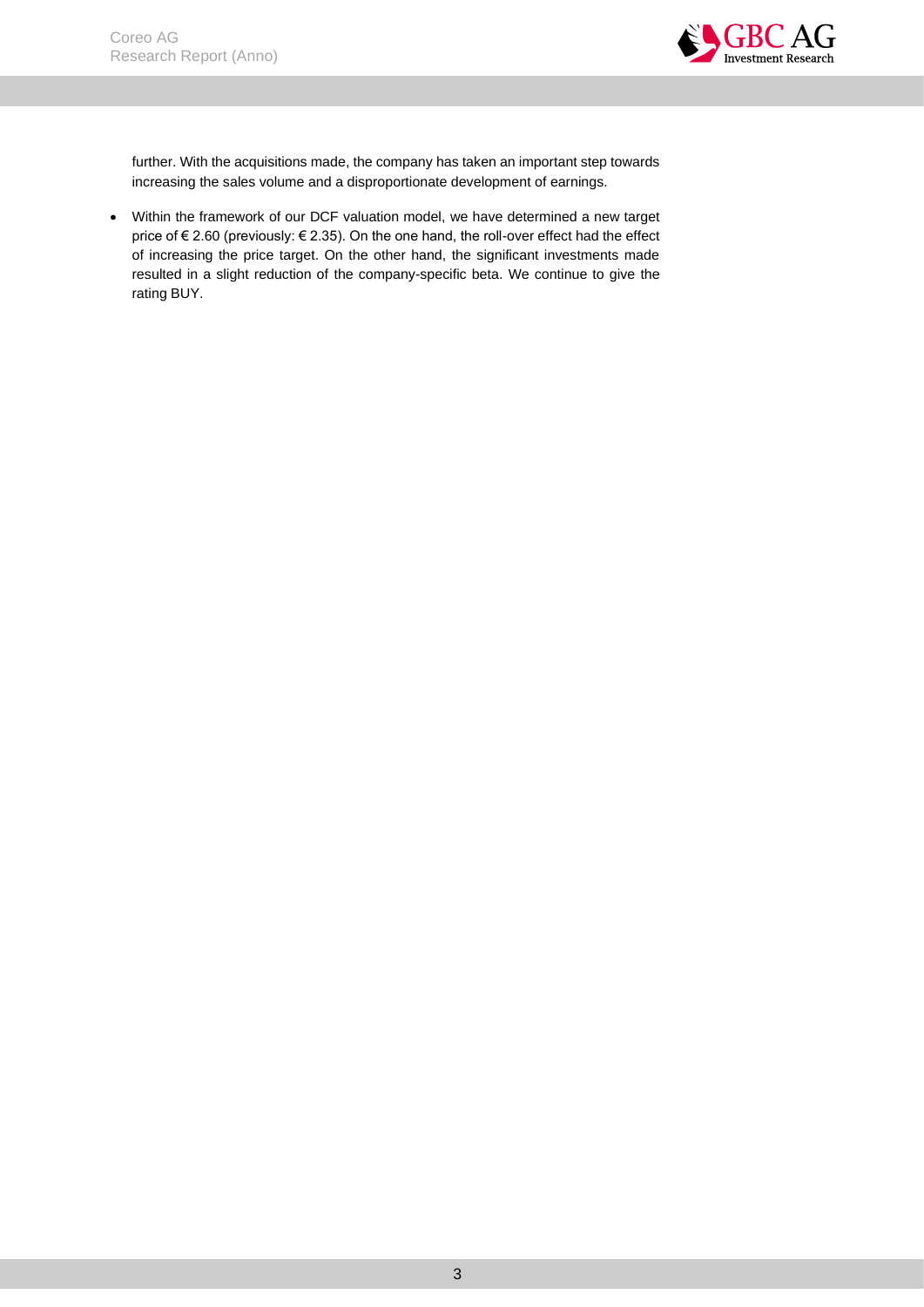

further. With the acquisitions made, the company has taken an important step towards increasing the sales volume and a disproportionate development of earnings.

• Within the framework of our DCF valuation model, we have determined a new target price of € 2.60 (previously: € 2.35). On the one hand, the roll-over effect had the effect of increasing the price target. On the other hand, the significant investments made resulted in a slight reduction of the company-specific beta. We continue to give the rating BUY.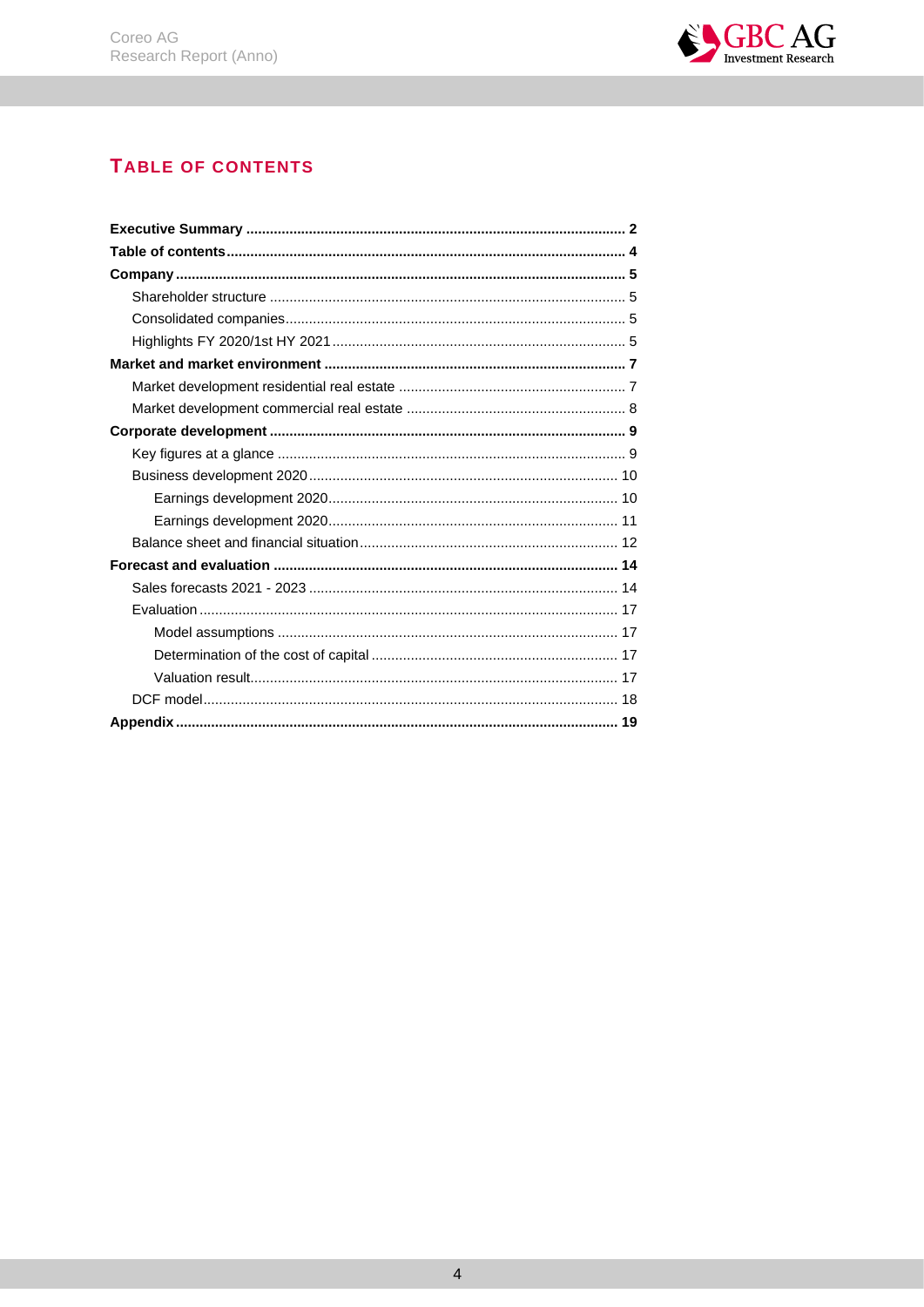

# <span id="page-4-0"></span>TABLE OF CONTENTS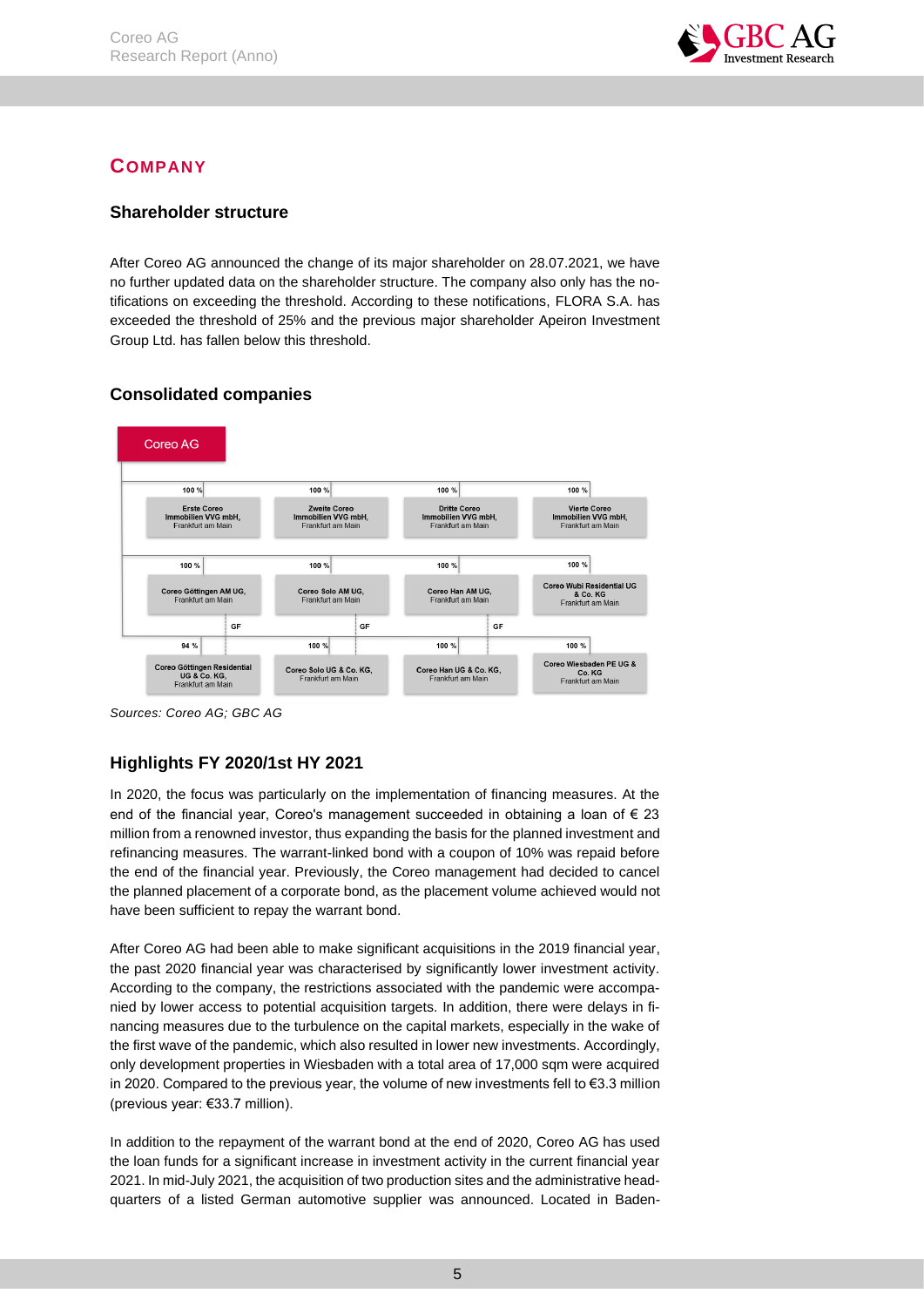

# <span id="page-5-0"></span>**COMPANY**

# <span id="page-5-1"></span>**Shareholder structure**

After Coreo AG announced the change of its major shareholder on 28.07.2021, we have no further updated data on the shareholder structure. The company also only has the notifications on exceeding the threshold. According to these notifications, FLORA S.A. has exceeded the threshold of 25% and the previous major shareholder Apeiron Investment Group Ltd. has fallen below this threshold.



# <span id="page-5-2"></span>**Consolidated companies**

*Sources: Coreo AG; GBC AG*

# <span id="page-5-3"></span>**Highlights FY 2020/1st HY 2021**

In 2020, the focus was particularly on the implementation of financing measures. At the end of the financial year, Coreo's management succeeded in obtaining a loan of  $\epsilon$  23 million from a renowned investor, thus expanding the basis for the planned investment and refinancing measures. The warrant-linked bond with a coupon of 10% was repaid before the end of the financial year. Previously, the Coreo management had decided to cancel the planned placement of a corporate bond, as the placement volume achieved would not have been sufficient to repay the warrant bond.

After Coreo AG had been able to make significant acquisitions in the 2019 financial year, the past 2020 financial year was characterised by significantly lower investment activity. According to the company, the restrictions associated with the pandemic were accompanied by lower access to potential acquisition targets. In addition, there were delays in financing measures due to the turbulence on the capital markets, especially in the wake of the first wave of the pandemic, which also resulted in lower new investments. Accordingly, only development properties in Wiesbaden with a total area of 17,000 sqm were acquired in 2020. Compared to the previous year, the volume of new investments fell to €3.3 million (previous year: €33.7 million).

In addition to the repayment of the warrant bond at the end of 2020, Coreo AG has used the loan funds for a significant increase in investment activity in the current financial year 2021. In mid-July 2021, the acquisition of two production sites and the administrative headquarters of a listed German automotive supplier was announced. Located in Baden-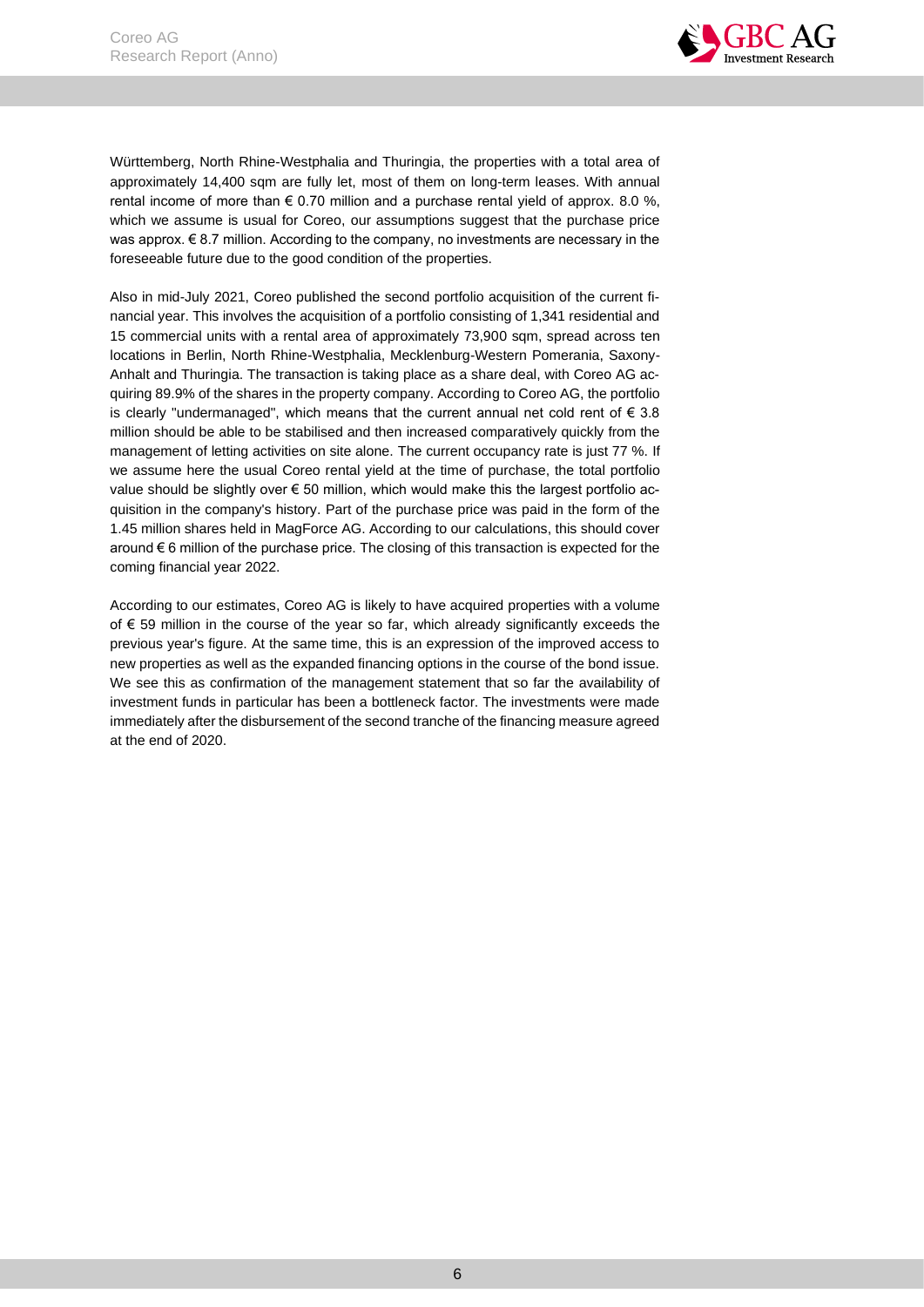

Württemberg, North Rhine-Westphalia and Thuringia, the properties with a total area of approximately 14,400 sqm are fully let, most of them on long-term leases. With annual rental income of more than  $\epsilon$  0.70 million and a purchase rental yield of approx. 8.0 %, which we assume is usual for Coreo, our assumptions suggest that the purchase price was approx.  $\epsilon$  8.7 million. According to the company, no investments are necessary in the foreseeable future due to the good condition of the properties.

Also in mid-July 2021, Coreo published the second portfolio acquisition of the current financial year. This involves the acquisition of a portfolio consisting of 1,341 residential and 15 commercial units with a rental area of approximately 73,900 sqm, spread across ten locations in Berlin, North Rhine-Westphalia, Mecklenburg-Western Pomerania, Saxony-Anhalt and Thuringia. The transaction is taking place as a share deal, with Coreo AG acquiring 89.9% of the shares in the property company. According to Coreo AG, the portfolio is clearly "undermanaged", which means that the current annual net cold rent of  $\epsilon$  3.8 million should be able to be stabilised and then increased comparatively quickly from the management of letting activities on site alone. The current occupancy rate is just 77 %. If we assume here the usual Coreo rental yield at the time of purchase, the total portfolio value should be slightly over € 50 million, which would make this the largest portfolio acquisition in the company's history. Part of the purchase price was paid in the form of the 1.45 million shares held in MagForce AG. According to our calculations, this should cover around  $\epsilon$  6 million of the purchase price. The closing of this transaction is expected for the coming financial year 2022.

According to our estimates, Coreo AG is likely to have acquired properties with a volume of € 59 million in the course of the year so far, which already significantly exceeds the previous year's figure. At the same time, this is an expression of the improved access to new properties as well as the expanded financing options in the course of the bond issue. We see this as confirmation of the management statement that so far the availability of investment funds in particular has been a bottleneck factor. The investments were made immediately after the disbursement of the second tranche of the financing measure agreed at the end of 2020.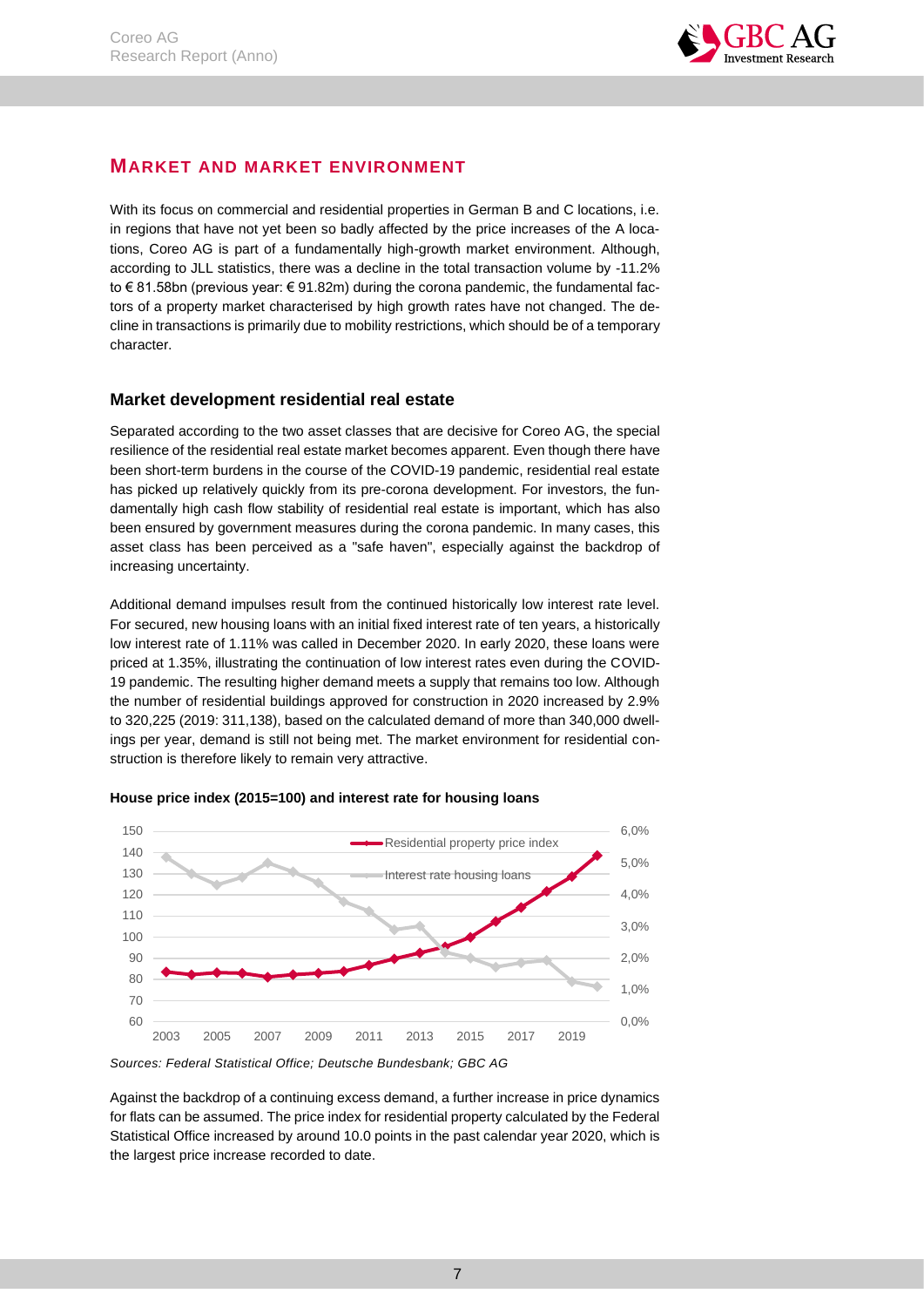

# <span id="page-7-0"></span>**MARKET AND MARKET ENVIRONMENT**

With its focus on commercial and residential properties in German B and C locations, i.e. in regions that have not yet been so badly affected by the price increases of the A locations, Coreo AG is part of a fundamentally high-growth market environment. Although, according to JLL statistics, there was a decline in the total transaction volume by -11.2% to € 81.58bn (previous year: € 91.82m) during the corona pandemic, the fundamental factors of a property market characterised by high growth rates have not changed. The decline in transactions is primarily due to mobility restrictions, which should be of a temporary character.

# <span id="page-7-1"></span>**Market development residential real estate**

Separated according to the two asset classes that are decisive for Coreo AG, the special resilience of the residential real estate market becomes apparent. Even though there have been short-term burdens in the course of the COVID-19 pandemic, residential real estate has picked up relatively quickly from its pre-corona development. For investors, the fundamentally high cash flow stability of residential real estate is important, which has also been ensured by government measures during the corona pandemic. In many cases, this asset class has been perceived as a "safe haven", especially against the backdrop of increasing uncertainty.

Additional demand impulses result from the continued historically low interest rate level. For secured, new housing loans with an initial fixed interest rate of ten years, a historically low interest rate of 1.11% was called in December 2020. In early 2020, these loans were priced at 1.35%, illustrating the continuation of low interest rates even during the COVID-19 pandemic. The resulting higher demand meets a supply that remains too low. Although the number of residential buildings approved for construction in 2020 increased by 2.9% to 320,225 (2019: 311,138), based on the calculated demand of more than 340,000 dwellings per year, demand is still not being met. The market environment for residential construction is therefore likely to remain very attractive.



#### **House price index (2015=100) and interest rate for housing loans**

Against the backdrop of a continuing excess demand, a further increase in price dynamics for flats can be assumed. The price index for residential property calculated by the Federal Statistical Office increased by around 10.0 points in the past calendar year 2020, which is the largest price increase recorded to date.

*Sources: Federal Statistical Office; Deutsche Bundesbank; GBC AG*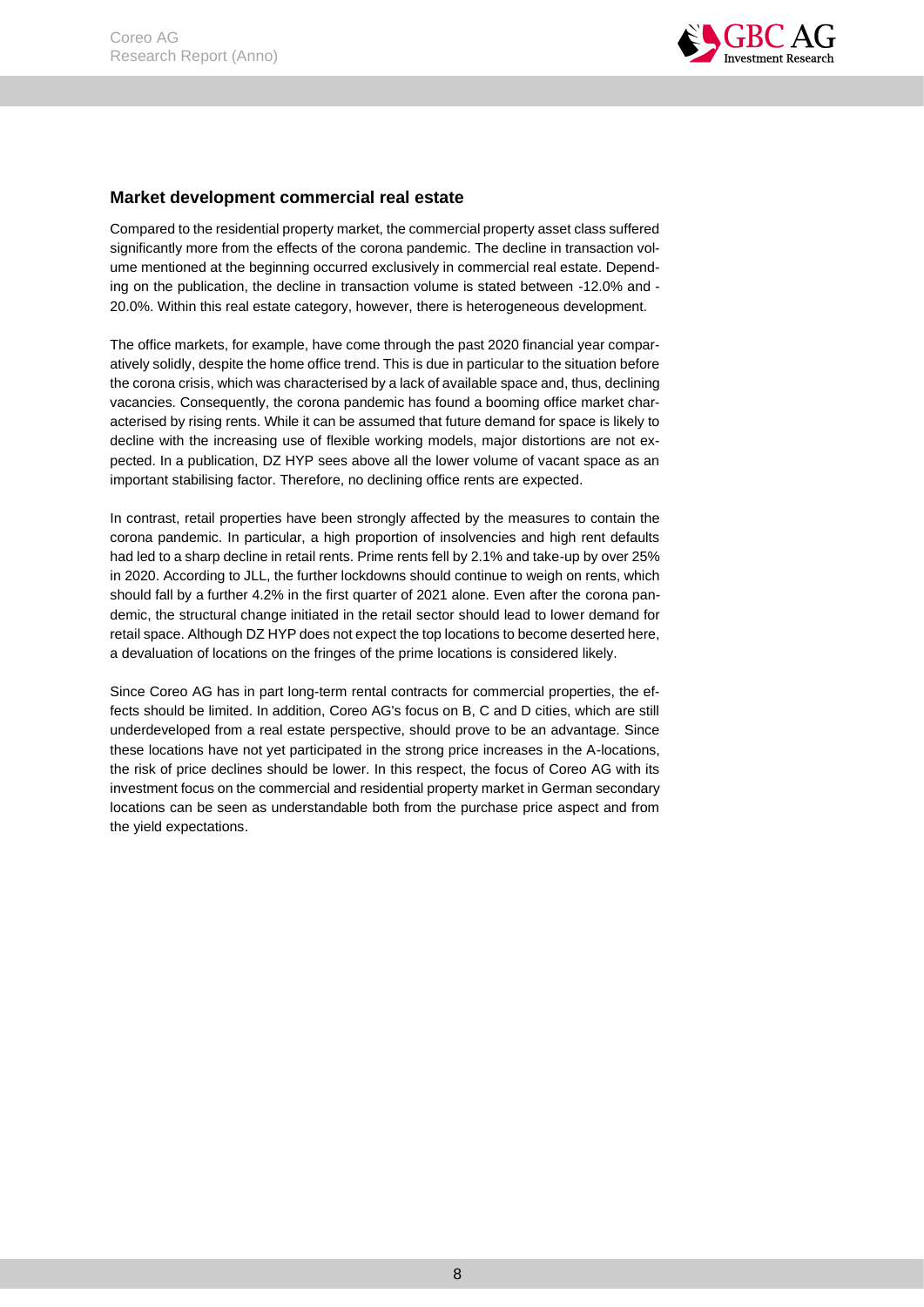

# <span id="page-8-0"></span>**Market development commercial real estate**

Compared to the residential property market, the commercial property asset class suffered significantly more from the effects of the corona pandemic. The decline in transaction volume mentioned at the beginning occurred exclusively in commercial real estate. Depending on the publication, the decline in transaction volume is stated between -12.0% and - 20.0%. Within this real estate category, however, there is heterogeneous development.

The office markets, for example, have come through the past 2020 financial year comparatively solidly, despite the home office trend. This is due in particular to the situation before the corona crisis, which was characterised by a lack of available space and, thus, declining vacancies. Consequently, the corona pandemic has found a booming office market characterised by rising rents. While it can be assumed that future demand for space is likely to decline with the increasing use of flexible working models, major distortions are not expected. In a publication, DZ HYP sees above all the lower volume of vacant space as an important stabilising factor. Therefore, no declining office rents are expected.

In contrast, retail properties have been strongly affected by the measures to contain the corona pandemic. In particular, a high proportion of insolvencies and high rent defaults had led to a sharp decline in retail rents. Prime rents fell by 2.1% and take-up by over 25% in 2020. According to JLL, the further lockdowns should continue to weigh on rents, which should fall by a further 4.2% in the first quarter of 2021 alone. Even after the corona pandemic, the structural change initiated in the retail sector should lead to lower demand for retail space. Although DZ HYP does not expect the top locations to become deserted here, a devaluation of locations on the fringes of the prime locations is considered likely.

Since Coreo AG has in part long-term rental contracts for commercial properties, the effects should be limited. In addition, Coreo AG's focus on B, C and D cities, which are still underdeveloped from a real estate perspective, should prove to be an advantage. Since these locations have not yet participated in the strong price increases in the A-locations, the risk of price declines should be lower. In this respect, the focus of Coreo AG with its investment focus on the commercial and residential property market in German secondary locations can be seen as understandable both from the purchase price aspect and from the yield expectations.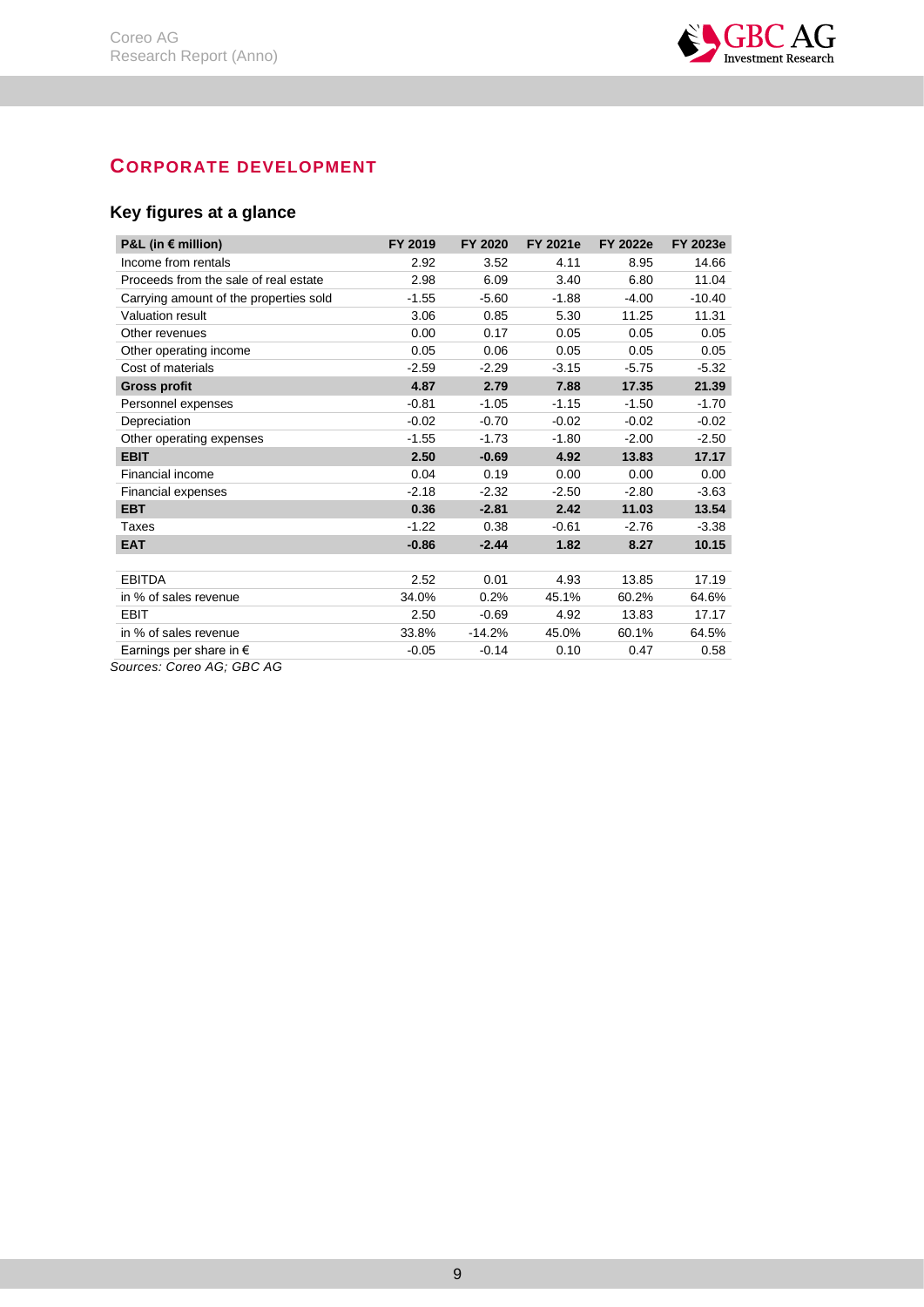

# <span id="page-9-0"></span>**CORPORATE DEVELOPMENT**

# <span id="page-9-1"></span>**Key figures at a glance**

| P&L (in $\epsilon$ million)            | FY 2019 | FY 2020  | FY 2021e | <b>FY 2022e</b> | FY 2023e |
|----------------------------------------|---------|----------|----------|-----------------|----------|
| Income from rentals                    | 2.92    | 3.52     | 4.11     | 8.95            | 14.66    |
| Proceeds from the sale of real estate  | 2.98    | 6.09     | 3.40     | 6.80            | 11.04    |
| Carrying amount of the properties sold | $-1.55$ | $-5.60$  | $-1.88$  | $-4.00$         | $-10.40$ |
| Valuation result                       | 3.06    | 0.85     | 5.30     | 11.25           | 11.31    |
| Other revenues                         | 0.00    | 0.17     | 0.05     | 0.05            | 0.05     |
| Other operating income                 | 0.05    | 0.06     | 0.05     | 0.05            | 0.05     |
| Cost of materials                      | $-2.59$ | $-2.29$  | $-3.15$  | $-5.75$         | $-5.32$  |
| <b>Gross profit</b>                    | 4.87    | 2.79     | 7.88     | 17.35           | 21.39    |
| Personnel expenses                     | $-0.81$ | $-1.05$  | $-1.15$  | $-1.50$         | $-1.70$  |
| Depreciation                           | $-0.02$ | $-0.70$  | $-0.02$  | $-0.02$         | $-0.02$  |
| Other operating expenses               | $-1.55$ | $-1.73$  | $-1.80$  | $-2.00$         | $-2.50$  |
| <b>EBIT</b>                            | 2.50    | $-0.69$  | 4.92     | 13.83           | 17.17    |
| Financial income                       | 0.04    | 0.19     | 0.00     | 0.00            | 0.00     |
| Financial expenses                     | $-2.18$ | $-2.32$  | $-2.50$  | $-2.80$         | $-3.63$  |
| <b>EBT</b>                             | 0.36    | $-2.81$  | 2.42     | 11.03           | 13.54    |
| Taxes                                  | $-1.22$ | 0.38     | $-0.61$  | $-2.76$         | $-3.38$  |
| <b>EAT</b>                             | $-0.86$ | $-2.44$  | 1.82     | 8.27            | 10.15    |
|                                        |         |          |          |                 |          |
| <b>EBITDA</b>                          | 2.52    | 0.01     | 4.93     | 13.85           | 17.19    |
| in % of sales revenue                  | 34.0%   | 0.2%     | 45.1%    | 60.2%           | 64.6%    |
| <b>EBIT</b>                            | 2.50    | $-0.69$  | 4.92     | 13.83           | 17.17    |
| in % of sales revenue                  | 33.8%   | $-14.2%$ | 45.0%    | 60.1%           | 64.5%    |
| Earnings per share in $\epsilon$       | $-0.05$ | $-0.14$  | 0.10     | 0.47            | 0.58     |

*Sources: Coreo AG; GBC AG*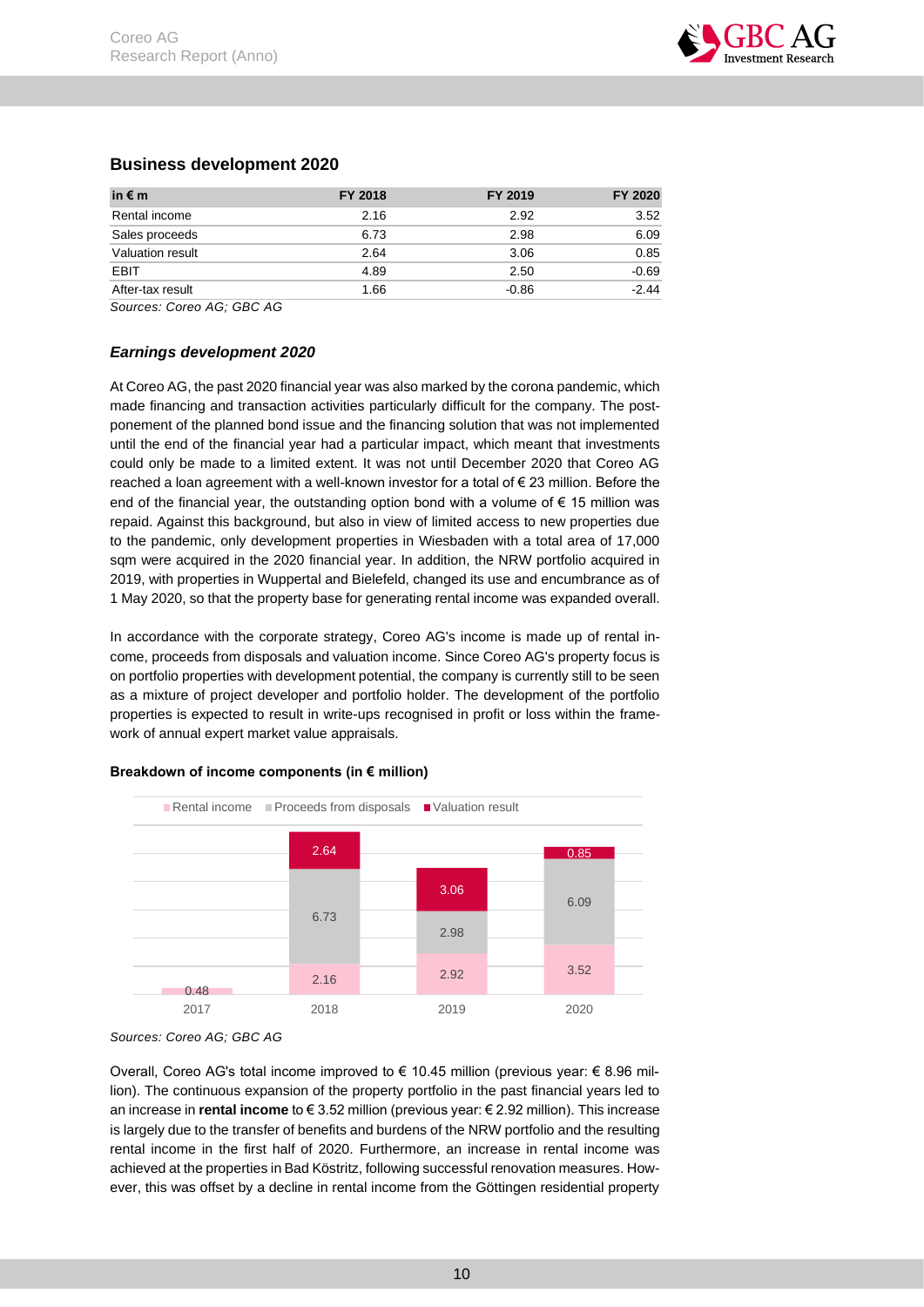

# <span id="page-10-0"></span>**Business development 2020**

| in $\epsilon$ m  | FY 2018 | FY 2019 | FY 2020 |
|------------------|---------|---------|---------|
| Rental income    | 2.16    | 2.92    | 3.52    |
| Sales proceeds   | 6.73    | 2.98    | 6.09    |
| Valuation result | 2.64    | 3.06    | 0.85    |
| EBIT             | 4.89    | 2.50    | $-0.69$ |
| After-tax result | 1.66    | $-0.86$ | $-2.44$ |

*Sources: Coreo AG; GBC AG*

# <span id="page-10-1"></span>*Earnings development 2020*

At Coreo AG, the past 2020 financial year was also marked by the corona pandemic, which made financing and transaction activities particularly difficult for the company. The postponement of the planned bond issue and the financing solution that was not implemented until the end of the financial year had a particular impact, which meant that investments could only be made to a limited extent. It was not until December 2020 that Coreo AG reached a loan agreement with a well-known investor for a total of € 23 million. Before the end of the financial year, the outstanding option bond with a volume of  $\epsilon$  15 million was repaid. Against this background, but also in view of limited access to new properties due to the pandemic, only development properties in Wiesbaden with a total area of 17,000 sqm were acquired in the 2020 financial year. In addition, the NRW portfolio acquired in 2019, with properties in Wuppertal and Bielefeld, changed its use and encumbrance as of 1 May 2020, so that the property base for generating rental income was expanded overall.

In accordance with the corporate strategy, Coreo AG's income is made up of rental income, proceeds from disposals and valuation income. Since Coreo AG's property focus is on portfolio properties with development potential, the company is currently still to be seen as a mixture of project developer and portfolio holder. The development of the portfolio properties is expected to result in write-ups recognised in profit or loss within the framework of annual expert market value appraisals.

### **Breakdown of income components (in € million)**



*Sources: Coreo AG; GBC AG*

Overall, Coreo AG's total income improved to  $\epsilon$  10.45 million (previous year:  $\epsilon$  8.96 million). The continuous expansion of the property portfolio in the past financial years led to an increase in **rental income** to € 3.52 million (previous year: € 2.92 million). This increase is largely due to the transfer of benefits and burdens of the NRW portfolio and the resulting rental income in the first half of 2020. Furthermore, an increase in rental income was achieved at the properties in Bad Köstritz, following successful renovation measures. However, this was offset by a decline in rental income from the Göttingen residential property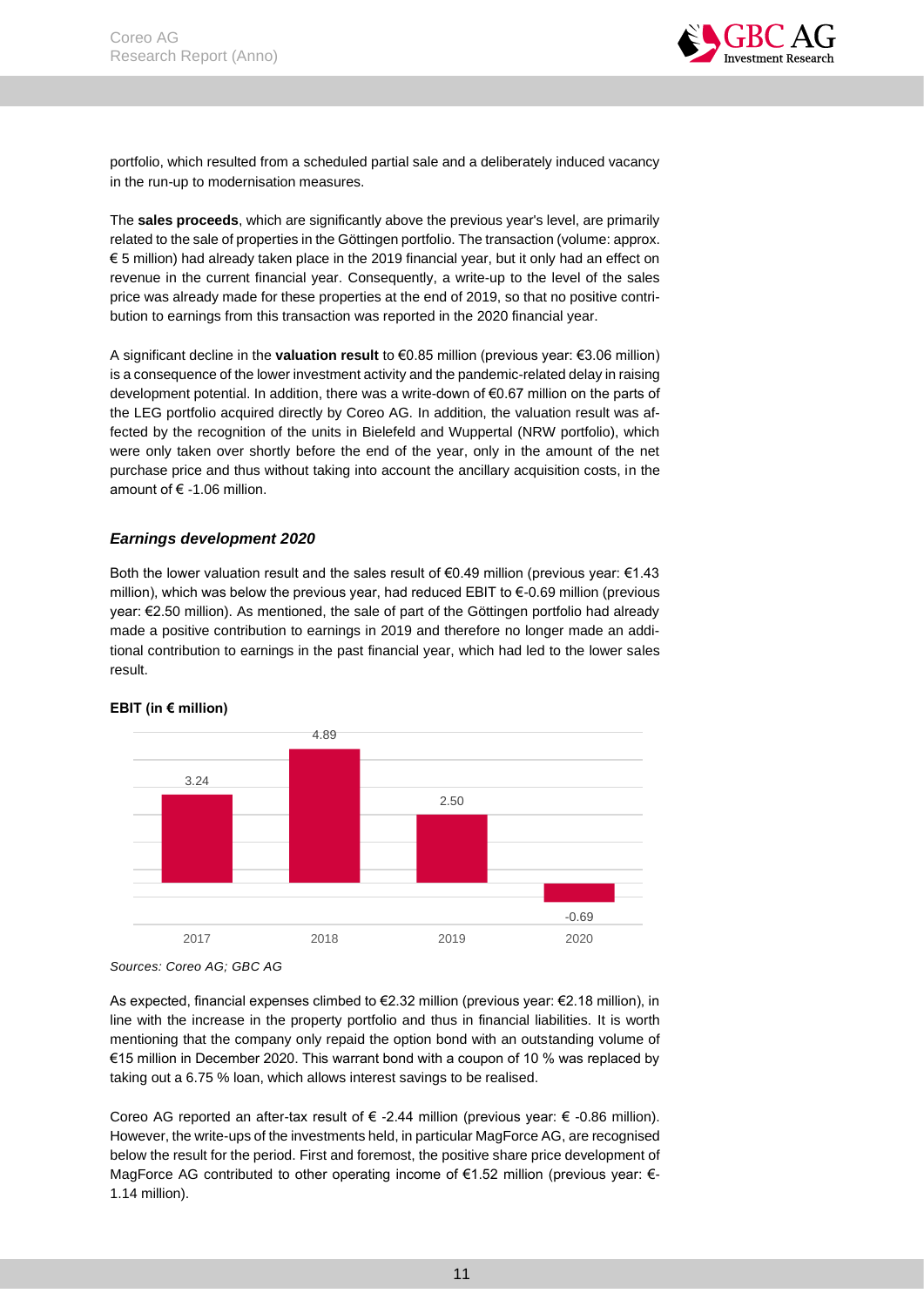

portfolio, which resulted from a scheduled partial sale and a deliberately induced vacancy in the run-up to modernisation measures.

The **sales proceeds**, which are significantly above the previous year's level, are primarily related to the sale of properties in the Göttingen portfolio. The transaction (volume: approx. € 5 million) had already taken place in the 2019 financial year, but it only had an effect on revenue in the current financial year. Consequently, a write-up to the level of the sales price was already made for these properties at the end of 2019, so that no positive contribution to earnings from this transaction was reported in the 2020 financial year.

A significant decline in the **valuation result** to €0.85 million (previous year: €3.06 million) is a consequence of the lower investment activity and the pandemic-related delay in raising development potential. In addition, there was a write-down of €0.67 million on the parts of the LEG portfolio acquired directly by Coreo AG. In addition, the valuation result was affected by the recognition of the units in Bielefeld and Wuppertal (NRW portfolio), which were only taken over shortly before the end of the year, only in the amount of the net purchase price and thus without taking into account the ancillary acquisition costs, in the amount of  $\epsilon$  -1.06 million.

## <span id="page-11-0"></span>*Earnings development 2020*

Both the lower valuation result and the sales result of  $\epsilon$ 0.49 million (previous year:  $\epsilon$ 1.43 million), which was below the previous year, had reduced EBIT to €-0.69 million (previous year: €2.50 million). As mentioned, the sale of part of the Göttingen portfolio had already made a positive contribution to earnings in 2019 and therefore no longer made an additional contribution to earnings in the past financial year, which had led to the lower sales result.



### **EBIT (in € million)**

As expected, financial expenses climbed to €2.32 million (previous year: €2.18 million), in line with the increase in the property portfolio and thus in financial liabilities. It is worth mentioning that the company only repaid the option bond with an outstanding volume of €15 million in December 2020. This warrant bond with a coupon of 10 % was replaced by taking out a 6.75 % loan, which allows interest savings to be realised.

Coreo AG reported an after-tax result of € -2.44 million (previous year: € -0.86 million). However, the write-ups of the investments held, in particular MagForce AG, are recognised below the result for the period. First and foremost, the positive share price development of MagForce AG contributed to other operating income of €1.52 million (previous year: €- 1.14 million).

*Sources: Coreo AG; GBC AG*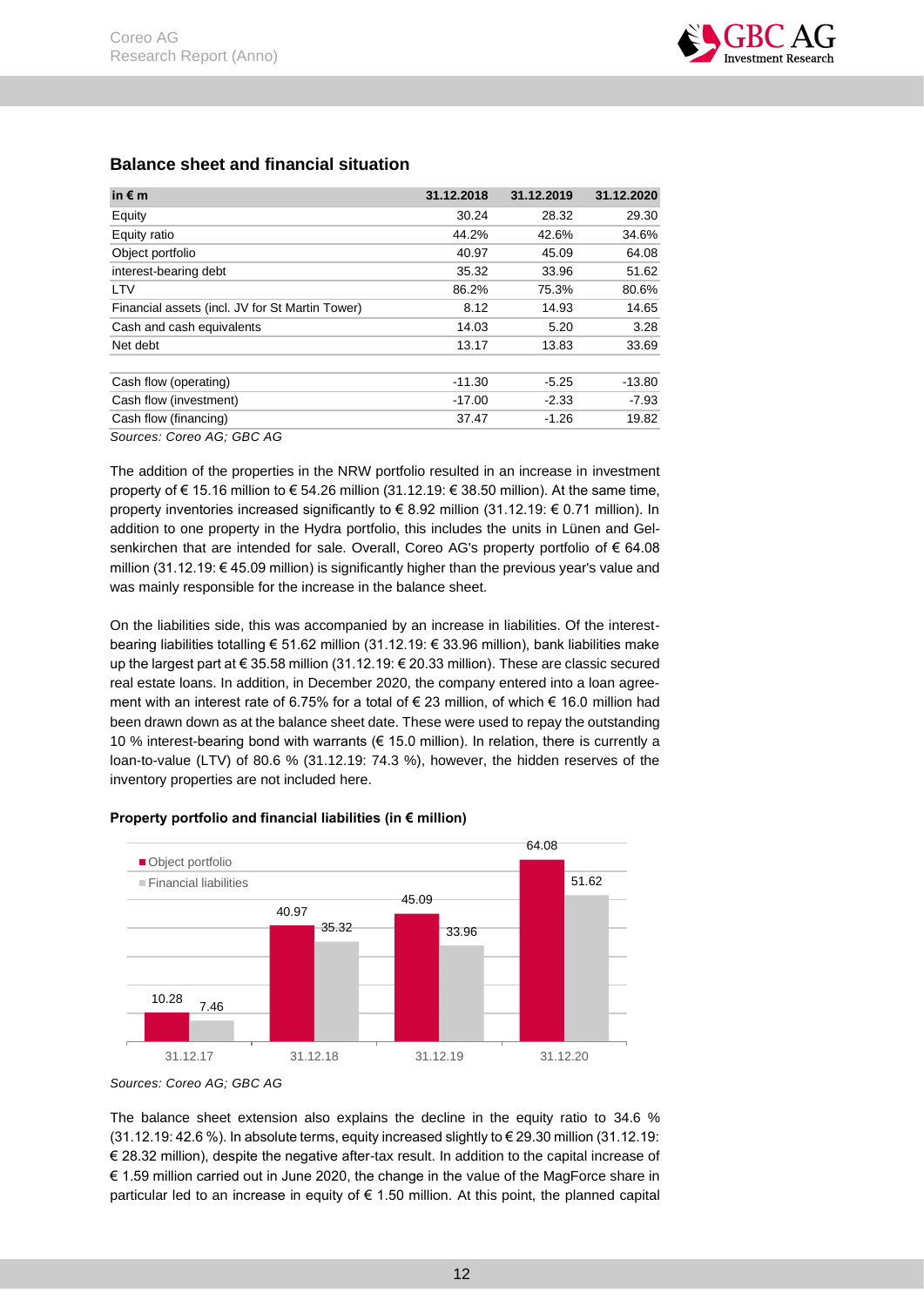| in $\notin$ m                                   | 31.12.2018 | 31.12.2019 | 31.12.2020 |
|-------------------------------------------------|------------|------------|------------|
| Equity                                          | 30.24      | 28.32      | 29.30      |
| Equity ratio                                    | 44.2%      | 42.6%      | 34.6%      |
| Object portfolio                                | 40.97      | 45.09      | 64.08      |
| interest-bearing debt                           | 35.32      | 33.96      | 51.62      |
| <b>LTV</b>                                      | 86.2%      | 75.3%      | 80.6%      |
| Financial assets (incl. JV for St Martin Tower) | 8.12       | 14.93      | 14.65      |
| Cash and cash equivalents                       | 14.03      | 5.20       | 3.28       |
| Net debt                                        | 13.17      | 13.83      | 33.69      |
| Cash flow (operating)                           | $-11.30$   | $-5.25$    | $-13.80$   |
| Cash flow (investment)                          | $-17.00$   | $-2.33$    | $-7.93$    |
| Cash flow (financing)                           | 37.47      | $-1.26$    | 19.82      |
| Sources: Coreo AG; GBC AG                       |            |            |            |

# <span id="page-12-0"></span>**Balance sheet and financial situation**

The addition of the properties in the NRW portfolio resulted in an increase in investment property of € 15.16 million to € 54.26 million (31.12.19: € 38.50 million). At the same time, property inventories increased significantly to € 8.92 million (31.12.19: € 0.71 million). In addition to one property in the Hydra portfolio, this includes the units in Lünen and Gelsenkirchen that are intended for sale. Overall, Coreo AG's property portfolio of  $\epsilon$  64.08 million (31.12.19: € 45.09 million) is significantly higher than the previous year's value and was mainly responsible for the increase in the balance sheet.

On the liabilities side, this was accompanied by an increase in liabilities. Of the interestbearing liabilities totalling € 51.62 million (31.12.19: € 33.96 million), bank liabilities make up the largest part at € 35.58 million (31.12.19: € 20.33 million). These are classic secured real estate loans. In addition, in December 2020, the company entered into a loan agreement with an interest rate of 6.75% for a total of € 23 million, of which € 16.0 million had been drawn down as at the balance sheet date. These were used to repay the outstanding 10 % interest-bearing bond with warrants ( $\in$  15.0 million). In relation, there is currently a loan-to-value (LTV) of 80.6 % (31.12.19: 74.3 %), however, the hidden reserves of the inventory properties are not included here.





*Sources: Coreo AG; GBC AG*

The balance sheet extension also explains the decline in the equity ratio to 34.6 % (31.12.19: 42.6 %). In absolute terms, equity increased slightly to € 29.30 million (31.12.19: € 28.32 million), despite the negative after-tax result. In addition to the capital increase of € 1.59 million carried out in June 2020, the change in the value of the MagForce share in particular led to an increase in equity of € 1.50 million. At this point, the planned capital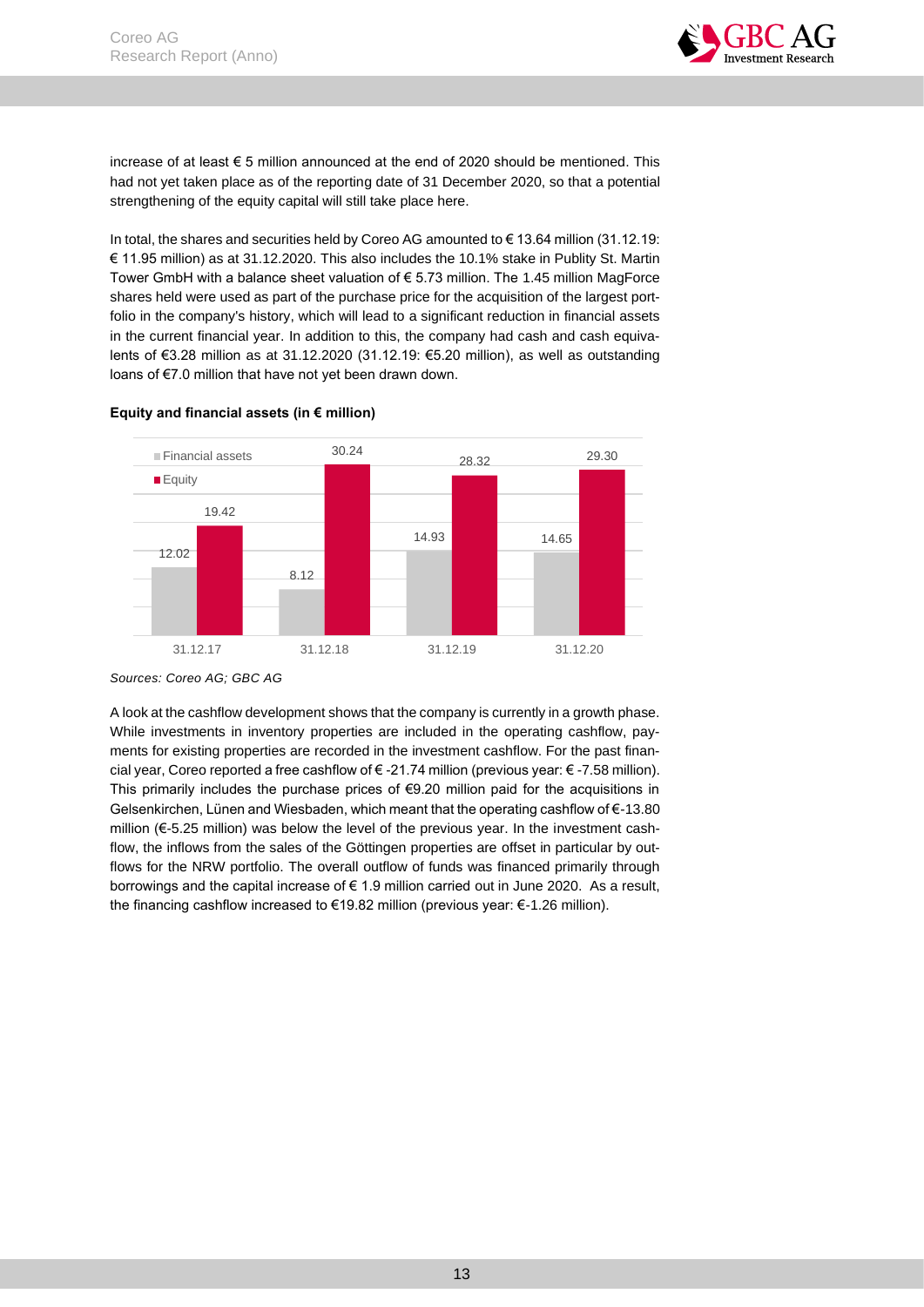

increase of at least € 5 million announced at the end of 2020 should be mentioned. This had not yet taken place as of the reporting date of 31 December 2020, so that a potential strengthening of the equity capital will still take place here.

In total, the shares and securities held by Coreo AG amounted to € 13.64 million (31.12.19: € 11.95 million) as at 31.12.2020. This also includes the 10.1% stake in Publity St. Martin Tower GmbH with a balance sheet valuation of  $\epsilon$  5.73 million. The 1.45 million MagForce shares held were used as part of the purchase price for the acquisition of the largest portfolio in the company's history, which will lead to a significant reduction in financial assets in the current financial year. In addition to this, the company had cash and cash equivalents of €3.28 million as at 31.12.2020 (31.12.19: €5.20 million), as well as outstanding loans of €7.0 million that have not yet been drawn down.



## **Equity and financial assets (in € million)**

*Sources: Coreo AG; GBC AG*

A look at the cashflow development shows that the company is currently in a growth phase. While investments in inventory properties are included in the operating cashflow, payments for existing properties are recorded in the investment cashflow. For the past financial year, Coreo reported a free cashflow of € -21.74 million (previous year: € -7.58 million). This primarily includes the purchase prices of  $€9.20$  million paid for the acquisitions in Gelsenkirchen, Lünen and Wiesbaden, which meant that the operating cashflow of €-13.80 million (€-5.25 million) was below the level of the previous year. In the investment cashflow, the inflows from the sales of the Göttingen properties are offset in particular by outflows for the NRW portfolio. The overall outflow of funds was financed primarily through borrowings and the capital increase of € 1.9 million carried out in June 2020. As a result, the financing cashflow increased to €19.82 million (previous year: €-1.26 million).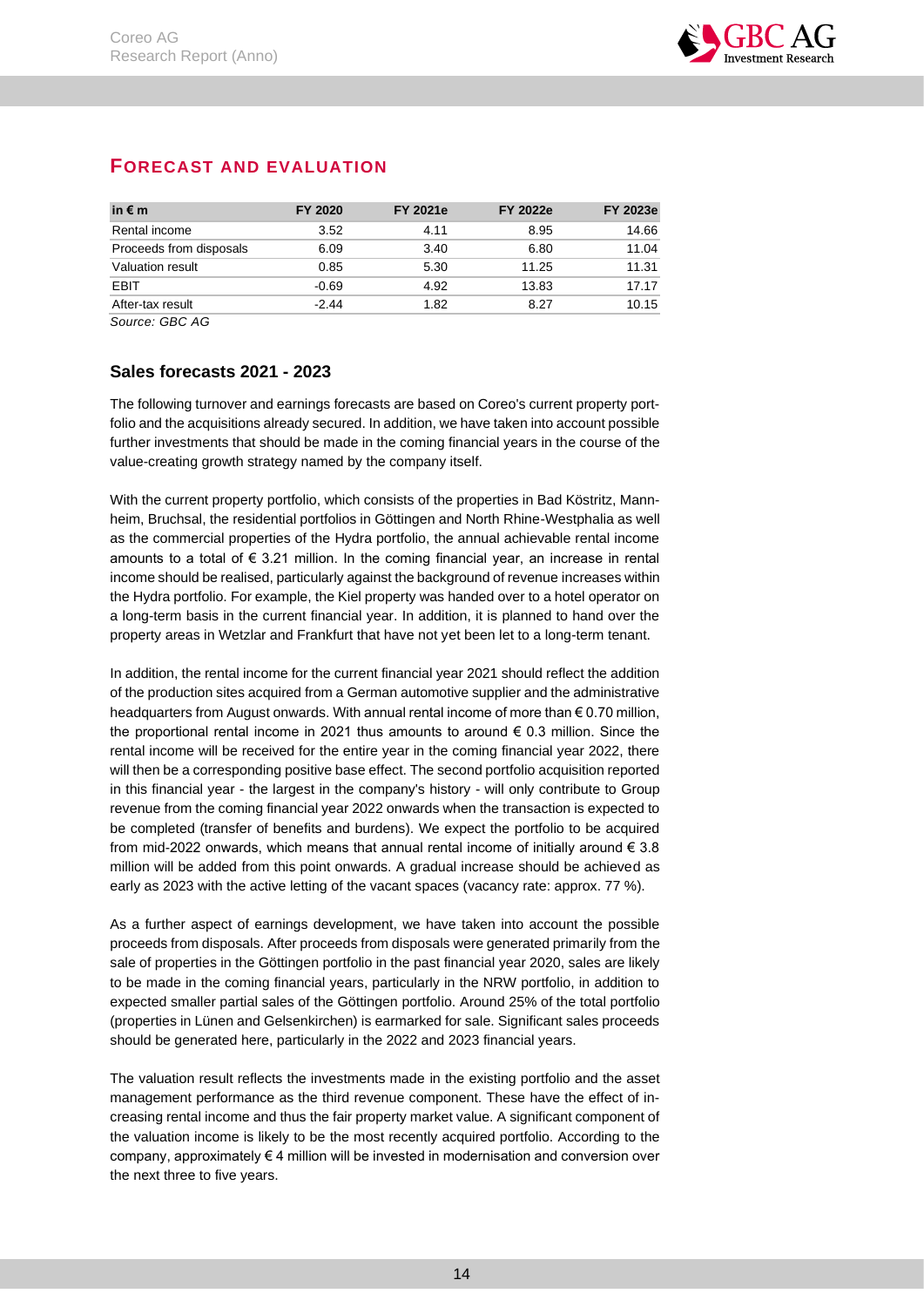

# <span id="page-14-0"></span>**FORECAST AND EVALUATION**

| in $\epsilon$ m         | FY 2020 | <b>FY 2021e</b> | <b>FY 2022e</b> | <b>FY 2023e</b> |
|-------------------------|---------|-----------------|-----------------|-----------------|
| Rental income           | 3.52    | 4.11            | 8.95            | 14.66           |
| Proceeds from disposals | 6.09    | 3.40            | 6.80            | 11.04           |
| Valuation result        | 0.85    | 5.30            | 11.25           | 11.31           |
| <b>EBIT</b>             | -0.69   | 4.92            | 13.83           | 17.17           |
| After-tax result        | $-2.44$ | 1.82            | 8.27            | 10.15           |

*Source: GBC AG*

# <span id="page-14-1"></span>**Sales forecasts 2021 - 2023**

The following turnover and earnings forecasts are based on Coreo's current property portfolio and the acquisitions already secured. In addition, we have taken into account possible further investments that should be made in the coming financial years in the course of the value-creating growth strategy named by the company itself.

With the current property portfolio, which consists of the properties in Bad Köstritz, Mannheim, Bruchsal, the residential portfolios in Göttingen and North Rhine-Westphalia as well as the commercial properties of the Hydra portfolio, the annual achievable rental income amounts to a total of  $\epsilon$  3.21 million. In the coming financial year, an increase in rental income should be realised, particularly against the background of revenue increases within the Hydra portfolio. For example, the Kiel property was handed over to a hotel operator on a long-term basis in the current financial year. In addition, it is planned to hand over the property areas in Wetzlar and Frankfurt that have not yet been let to a long-term tenant.

In addition, the rental income for the current financial year 2021 should reflect the addition of the production sites acquired from a German automotive supplier and the administrative headquarters from August onwards. With annual rental income of more than € 0.70 million, the proportional rental income in 2021 thus amounts to around  $\epsilon$  0.3 million. Since the rental income will be received for the entire year in the coming financial year 2022, there will then be a corresponding positive base effect. The second portfolio acquisition reported in this financial year - the largest in the company's history - will only contribute to Group revenue from the coming financial year 2022 onwards when the transaction is expected to be completed (transfer of benefits and burdens). We expect the portfolio to be acquired from mid-2022 onwards, which means that annual rental income of initially around  $\epsilon$  3.8 million will be added from this point onwards. A gradual increase should be achieved as early as 2023 with the active letting of the vacant spaces (vacancy rate: approx. 77 %).

As a further aspect of earnings development, we have taken into account the possible proceeds from disposals. After proceeds from disposals were generated primarily from the sale of properties in the Göttingen portfolio in the past financial year 2020, sales are likely to be made in the coming financial years, particularly in the NRW portfolio, in addition to expected smaller partial sales of the Göttingen portfolio. Around 25% of the total portfolio (properties in Lünen and Gelsenkirchen) is earmarked for sale. Significant sales proceeds should be generated here, particularly in the 2022 and 2023 financial years.

The valuation result reflects the investments made in the existing portfolio and the asset management performance as the third revenue component. These have the effect of increasing rental income and thus the fair property market value. A significant component of the valuation income is likely to be the most recently acquired portfolio. According to the company, approximately  $\epsilon$  4 million will be invested in modernisation and conversion over the next three to five years.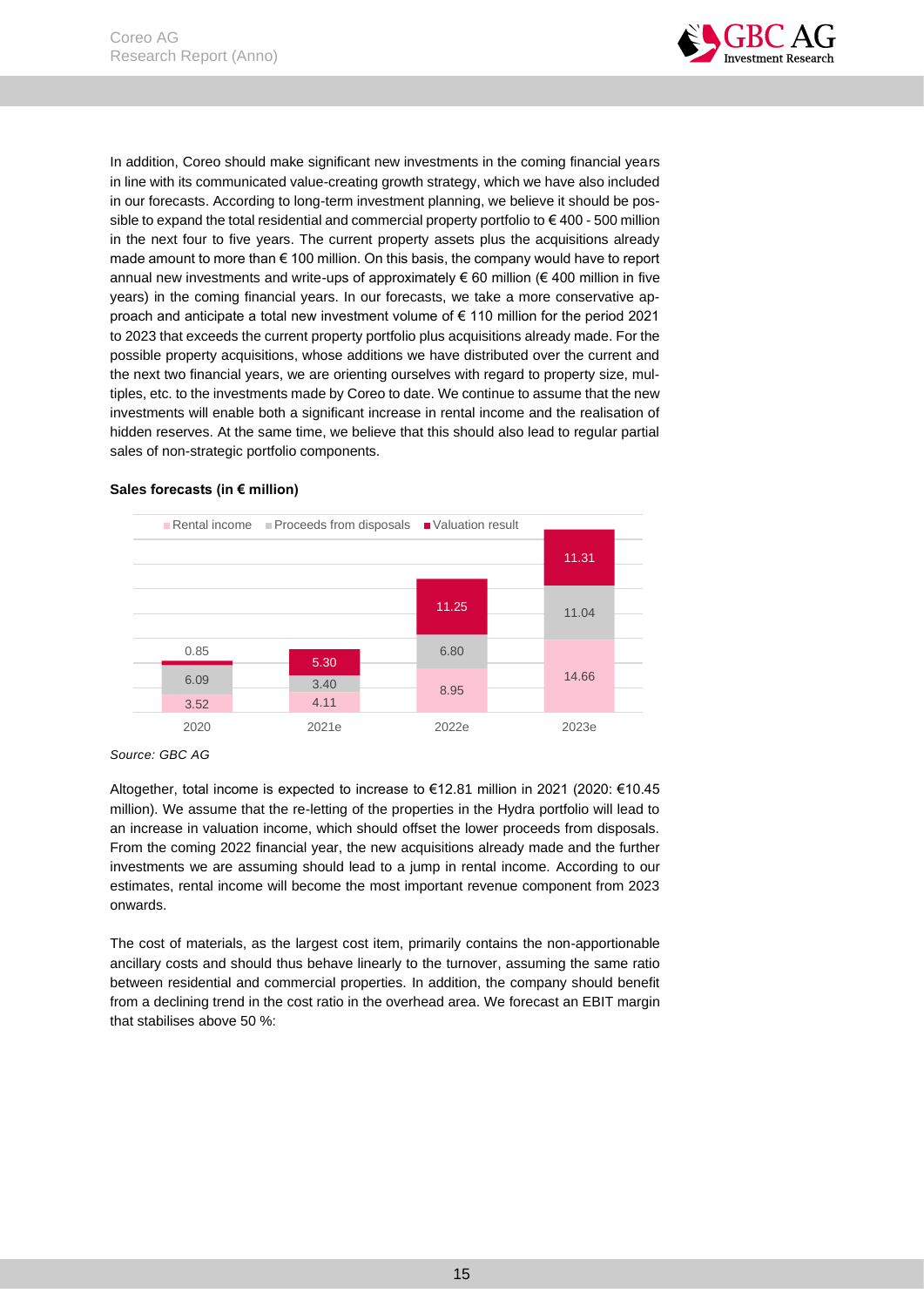

In addition, Coreo should make significant new investments in the coming financial years in line with its communicated value-creating growth strategy, which we have also included in our forecasts. According to long-term investment planning, we believe it should be possible to expand the total residential and commercial property portfolio to  $\epsilon$  400 - 500 million in the next four to five years. The current property assets plus the acquisitions already made amount to more than  $\epsilon$  100 million. On this basis, the company would have to report annual new investments and write-ups of approximately  $\epsilon$  60 million ( $\epsilon$  400 million in five years) in the coming financial years. In our forecasts, we take a more conservative approach and anticipate a total new investment volume of € 110 million for the period 2021 to 2023 that exceeds the current property portfolio plus acquisitions already made. For the possible property acquisitions, whose additions we have distributed over the current and the next two financial years, we are orienting ourselves with regard to property size, multiples, etc. to the investments made by Coreo to date. We continue to assume that the new investments will enable both a significant increase in rental income and the realisation of hidden reserves. At the same time, we believe that this should also lead to regular partial sales of non-strategic portfolio components.



### **Sales forecasts (in € million)**

Altogether, total income is expected to increase to €12.81 million in 2021 (2020: €10.45 million). We assume that the re-letting of the properties in the Hydra portfolio will lead to an increase in valuation income, which should offset the lower proceeds from disposals. From the coming 2022 financial year, the new acquisitions already made and the further investments we are assuming should lead to a jump in rental income. According to our estimates, rental income will become the most important revenue component from 2023 onwards.

The cost of materials, as the largest cost item, primarily contains the non-apportionable ancillary costs and should thus behave linearly to the turnover, assuming the same ratio between residential and commercial properties. In addition, the company should benefit from a declining trend in the cost ratio in the overhead area. We forecast an EBIT margin that stabilises above 50 %:

*Source: GBC AG*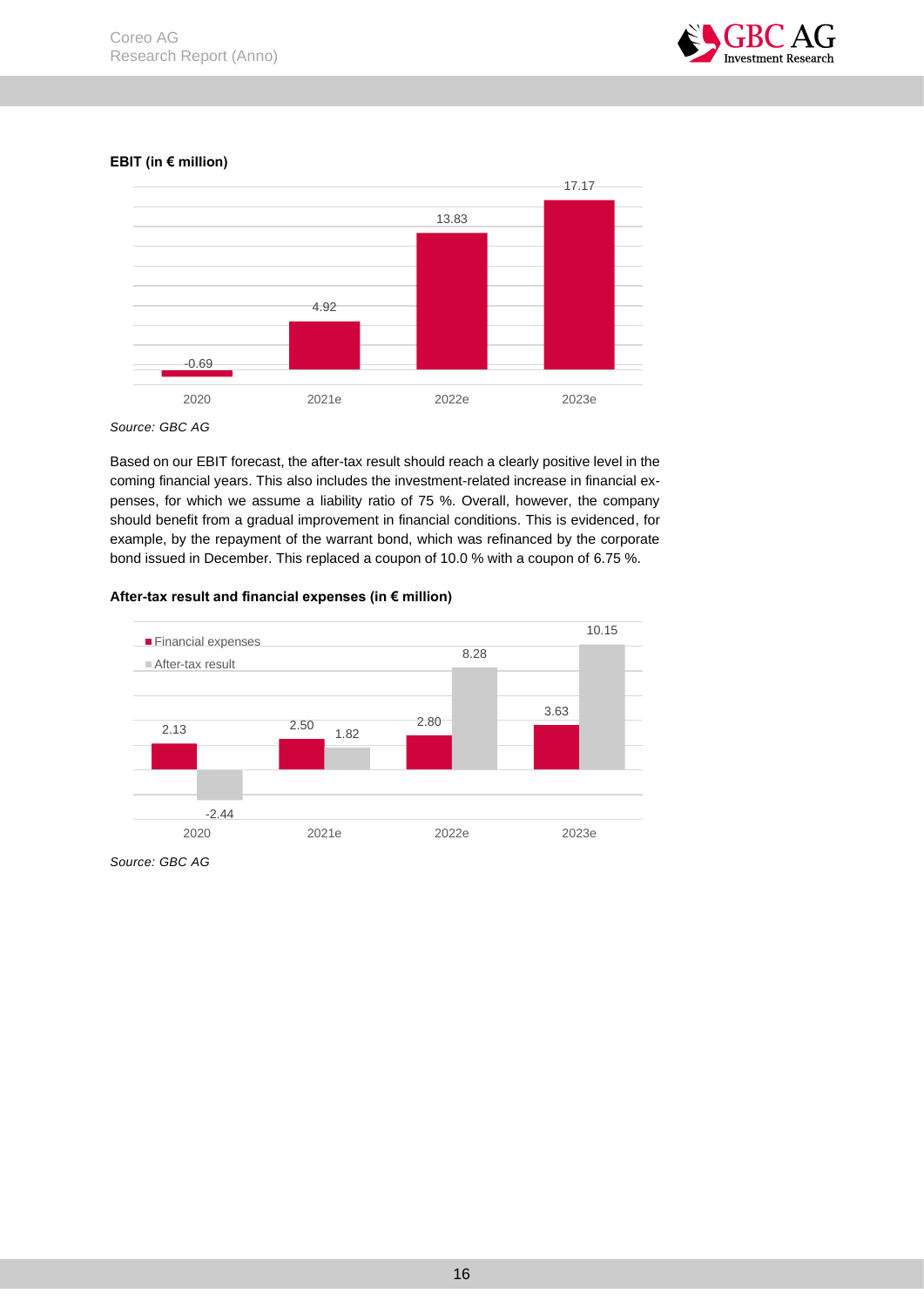

**EBIT (in € million)**



*Source: GBC AG*

Based on our EBIT forecast, the after-tax result should reach a clearly positive level in the coming financial years. This also includes the investment-related increase in financial expenses, for which we assume a liability ratio of 75 %. Overall, however, the company should benefit from a gradual improvement in financial conditions. This is evidenced, for example, by the repayment of the warrant bond, which was refinanced by the corporate bond issued in December. This replaced a coupon of 10.0 % with a coupon of 6.75 %.

## **After-tax result and financial expenses (in € million)**



*Source: GBC AG*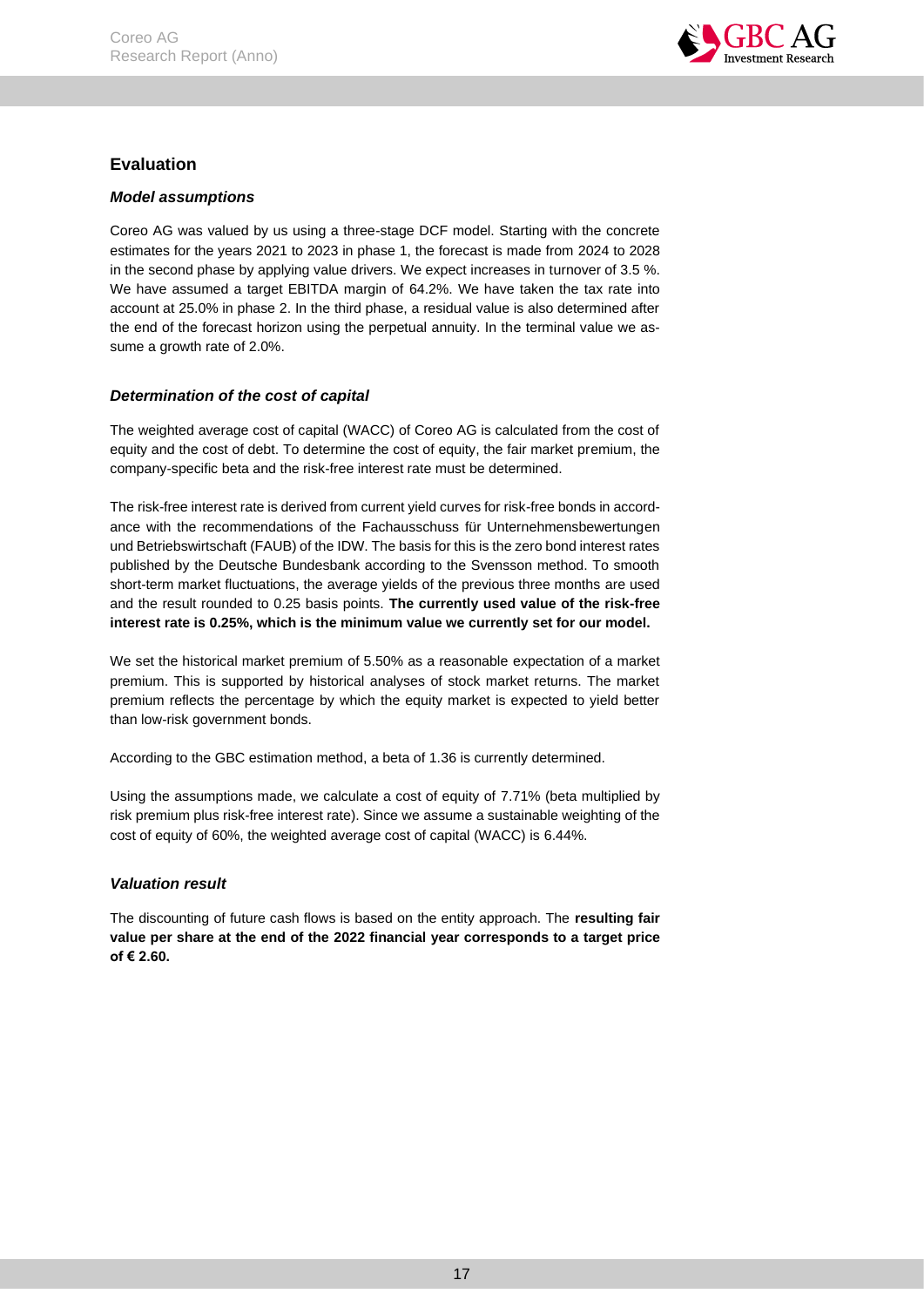

# <span id="page-17-0"></span>**Evaluation**

# <span id="page-17-1"></span>*Model assumptions*

Coreo AG was valued by us using a three-stage DCF model. Starting with the concrete estimates for the years 2021 to 2023 in phase 1, the forecast is made from 2024 to 2028 in the second phase by applying value drivers. We expect increases in turnover of 3.5 %. We have assumed a target EBITDA margin of 64.2%. We have taken the tax rate into account at 25.0% in phase 2. In the third phase, a residual value is also determined after the end of the forecast horizon using the perpetual annuity. In the terminal value we assume a growth rate of 2.0%.

# <span id="page-17-2"></span>*Determination of the cost of capital*

The weighted average cost of capital (WACC) of Coreo AG is calculated from the cost of equity and the cost of debt. To determine the cost of equity, the fair market premium, the company-specific beta and the risk-free interest rate must be determined.

The risk-free interest rate is derived from current yield curves for risk-free bonds in accordance with the recommendations of the Fachausschuss für Unternehmensbewertungen und Betriebswirtschaft (FAUB) of the IDW. The basis for this is the zero bond interest rates published by the Deutsche Bundesbank according to the Svensson method. To smooth short-term market fluctuations, the average yields of the previous three months are used and the result rounded to 0.25 basis points. **The currently used value of the risk-free interest rate is 0.25%, which is the minimum value we currently set for our model.**

We set the historical market premium of 5.50% as a reasonable expectation of a market premium. This is supported by historical analyses of stock market returns. The market premium reflects the percentage by which the equity market is expected to yield better than low-risk government bonds.

According to the GBC estimation method, a beta of 1.36 is currently determined.

Using the assumptions made, we calculate a cost of equity of 7.71% (beta multiplied by risk premium plus risk-free interest rate). Since we assume a sustainable weighting of the cost of equity of 60%, the weighted average cost of capital (WACC) is 6.44%.

# <span id="page-17-3"></span>*Valuation result*

The discounting of future cash flows is based on the entity approach. The **resulting fair value per share at the end of the 2022 financial year corresponds to a target price of € 2.60.**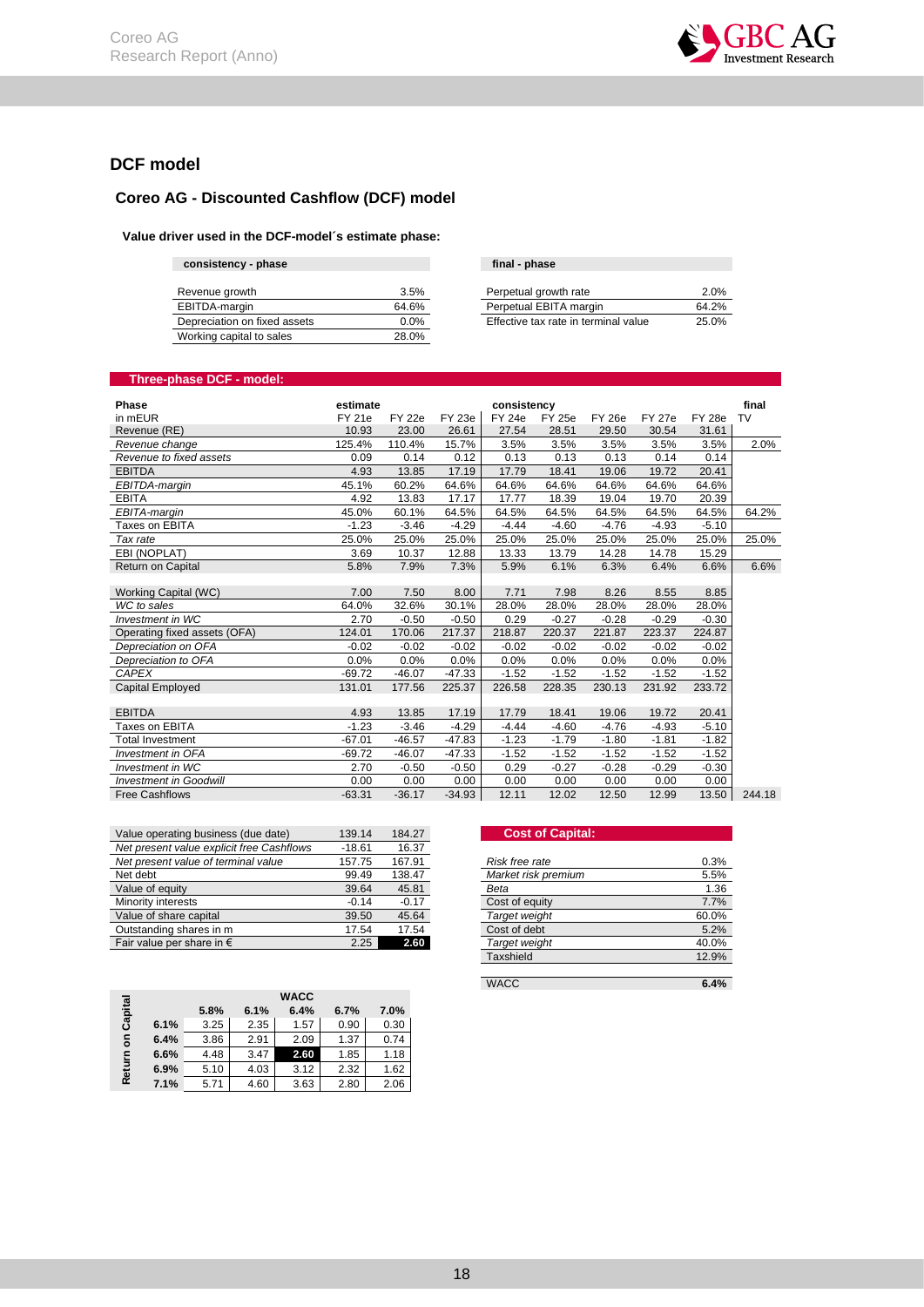

# <span id="page-18-0"></span>**DCF model**

# **Coreo AG - Discounted Cashflow (DCF) model**

#### **Value driver used in the DCF-model´s estimate phase:**

| consistency - phase          |         | final - phase                        |       |
|------------------------------|---------|--------------------------------------|-------|
|                              |         |                                      |       |
| Revenue growth               | 3.5%    | Perpetual growth rate                | 2.0%  |
| EBITDA-margin                | 64.6%   | Perpetual EBITA margin               | 64.2% |
| Depreciation on fixed assets | $0.0\%$ | Effective tax rate in terminal value | 25.0% |
| Working capital to sales     | 28.0%   |                                      |       |

| final - phase                        |       |
|--------------------------------------|-------|
|                                      |       |
| Perpetual growth rate                | 2.0%  |
| Perpetual EBITA margin               | 64.2% |
| Effective tax rate in terminal value | 25.0% |

# **Three-phase DCF - model:**

| Phase                         | estimate      |               |               | consistency   |               |               |               |               | final  |
|-------------------------------|---------------|---------------|---------------|---------------|---------------|---------------|---------------|---------------|--------|
| in mEUR                       | <b>FY 21e</b> | <b>FY 22e</b> | <b>FY 23e</b> | <b>FY 24e</b> | <b>FY 25e</b> | <b>FY 26e</b> | <b>FY 27e</b> | <b>FY 28e</b> | TV     |
| Revenue (RE)                  | 10.93         | 23.00         | 26.61         | 27.54         | 28.51         | 29.50         | 30.54         | 31.61         |        |
| Revenue change                | 125.4%        | 110.4%        | 15.7%         | 3.5%          | 3.5%          | 3.5%          | 3.5%          | 3.5%          | 2.0%   |
| Revenue to fixed assets       | 0.09          | 0.14          | 0.12          | 0.13          | 0.13          | 0.13          | 0.14          | 0.14          |        |
| <b>EBITDA</b>                 | 4.93          | 13.85         | 17.19         | 17.79         | 18.41         | 19.06         | 19.72         | 20.41         |        |
| EBITDA-margin                 | 45.1%         | 60.2%         | 64.6%         | 64.6%         | 64.6%         | 64.6%         | 64.6%         | 64.6%         |        |
| <b>EBITA</b>                  | 4.92          | 13.83         | 17.17         | 17.77         | 18.39         | 19.04         | 19.70         | 20.39         |        |
| EBITA-margin                  | 45.0%         | 60.1%         | 64.5%         | 64.5%         | 64.5%         | 64.5%         | 64.5%         | 64.5%         | 64.2%  |
| Taxes on EBITA                | $-1.23$       | $-3.46$       | $-4.29$       | $-4.44$       | $-4.60$       | $-4.76$       | $-4.93$       | $-5.10$       |        |
| Tax rate                      | 25.0%         | 25.0%         | 25.0%         | 25.0%         | 25.0%         | 25.0%         | 25.0%         | 25.0%         | 25.0%  |
| EBI (NOPLAT)                  | 3.69          | 10.37         | 12.88         | 13.33         | 13.79         | 14.28         | 14.78         | 15.29         |        |
| Return on Capital             | 5.8%          | 7.9%          | 7.3%          | 5.9%          | 6.1%          | 6.3%          | 6.4%          | 6.6%          | 6.6%   |
|                               |               |               |               |               |               |               |               |               |        |
| Working Capital (WC)          | 7.00          | 7.50          | 8.00          | 7.71          | 7.98          | 8.26          | 8.55          | 8.85          |        |
| WC to sales                   | 64.0%         | 32.6%         | 30.1%         | 28.0%         | 28.0%         | 28.0%         | 28.0%         | 28.0%         |        |
| Investment in WC              | 2.70          | $-0.50$       | $-0.50$       | 0.29          | $-0.27$       | $-0.28$       | $-0.29$       | $-0.30$       |        |
| Operating fixed assets (OFA)  | 124.01        | 170.06        | 217.37        | 218.87        | 220.37        | 221.87        | 223.37        | 224.87        |        |
| Depreciation on OFA           | $-0.02$       | $-0.02$       | $-0.02$       | $-0.02$       | $-0.02$       | $-0.02$       | $-0.02$       | $-0.02$       |        |
| Depreciation to OFA           | 0.0%          | 0.0%          | 0.0%          | 0.0%          | 0.0%          | 0.0%          | 0.0%          | 0.0%          |        |
| <b>CAPEX</b>                  | $-69.72$      | $-46.07$      | $-47.33$      | $-1.52$       | $-1.52$       | $-1.52$       | $-1.52$       | $-1.52$       |        |
| Capital Employed              | 131.01        | 177.56        | 225.37        | 226.58        | 228.35        | 230.13        | 231.92        | 233.72        |        |
|                               |               |               |               |               |               |               |               |               |        |
| <b>EBITDA</b>                 | 4.93          | 13.85         | 17.19         | 17.79         | 18.41         | 19.06         | 19.72         | 20.41         |        |
| Taxes on EBITA                | $-1.23$       | $-3.46$       | $-4.29$       | $-4.44$       | $-4.60$       | $-4.76$       | $-4.93$       | $-5.10$       |        |
| <b>Total Investment</b>       | $-67.01$      | $-46.57$      | $-47.83$      | $-1.23$       | $-1.79$       | $-1.80$       | $-1.81$       | $-1.82$       |        |
| <b>Investment in OFA</b>      | $-69.72$      | $-46.07$      | $-47.33$      | $-1.52$       | $-1.52$       | $-1.52$       | $-1.52$       | $-1.52$       |        |
| Investment in WC              | 2.70          | $-0.50$       | $-0.50$       | 0.29          | $-0.27$       | $-0.28$       | $-0.29$       | $-0.30$       |        |
| <b>Investment in Goodwill</b> | 0.00          | 0.00          | 0.00          | 0.00          | 0.00          | 0.00          | 0.00          | 0.00          |        |
| <b>Free Cashflows</b>         | $-63.31$      | $-36.17$      | $-34.93$      | 12.11         | 12.02         | 12.50         | 12.99         | 13.50         | 244.18 |

| Value operating business (due date)       | 139.14   | 184.27  | <b>Cost of Capital:</b> |       |
|-------------------------------------------|----------|---------|-------------------------|-------|
| Net present value explicit free Cashflows | $-18.61$ | 16.37   |                         |       |
| Net present value of terminal value       | 157.75   | 167.91  | Risk free rate          | 0.3%  |
| Net debt                                  | 99.49    | 138.47  | Market risk premium     | 5.5%  |
| Value of equity                           | 39.64    | 45.81   | Beta                    | 1.36  |
| Minority interests                        | $-0.14$  | $-0.17$ | Cost of equity          | 7.7%  |
| Value of share capital                    | 39.50    | 45.64   | Target weight           | 60.0% |
| Outstanding shares in m                   | 17.54    | 17.54   | Cost of debt            | 5.2%  |
| Fair value per share in $\epsilon$        | 2.25     | 2.60    | Target weight           | 40.0% |

|         |      |      |      | <b>WACC</b> |      |      |
|---------|------|------|------|-------------|------|------|
| Capital |      | 5.8% | 6.1% | 6.4%        | 6.7% | 7.0% |
|         | 6.1% | 3.25 | 2.35 | 1.57        | 0.90 | 0.30 |
| 둥       | 6.4% | 3.86 | 2.91 | 2.09        | 1.37 | 0.74 |
|         | 6.6% | 4.48 | 3.47 | 2.60        | 1.85 | 1.18 |
| Return  | 6.9% | 5.10 | 4.03 | 3.12        | 2.32 | 1.62 |
|         | 7.1% | 5.71 | 4.60 | 3.63        | 2.80 | 2.06 |

## **Value of Capital:**

| Risk free rate      | 0.3%  |
|---------------------|-------|
| Market risk premium | 5.5%  |
| Beta                | 1.36  |
| Cost of equity      | 7.7%  |
| Target weight       | 60.0% |
| Cost of debt        | 5.2%  |
| Target weight       | 40.0% |
| Taxshield           | 12.9% |
|                     |       |

WACC **6.4%**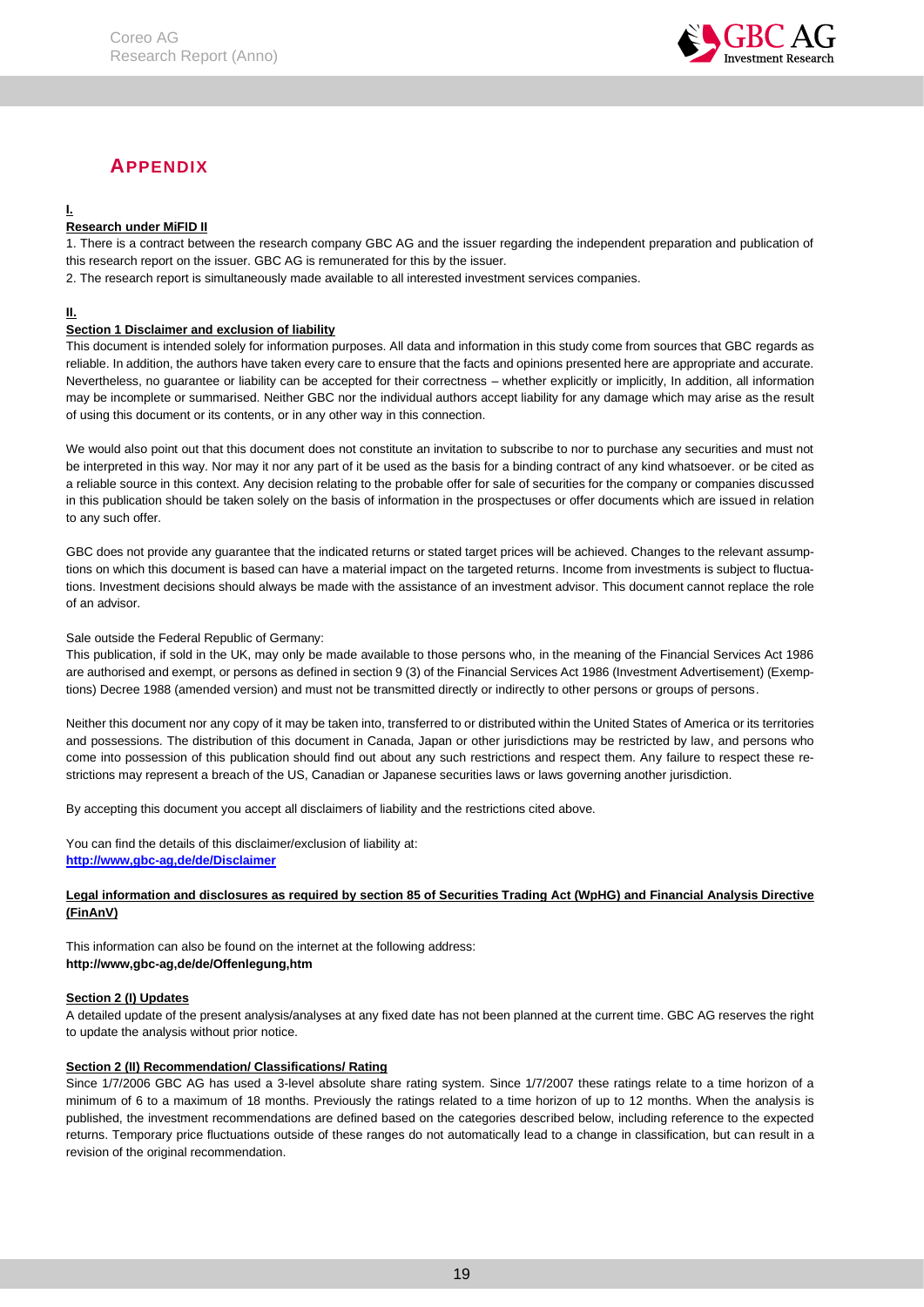

# <span id="page-19-1"></span>**APPENDIX**

# <span id="page-19-0"></span>**I.**

## **Research under MiFID II**

1. There is a contract between the research company GBC AG and the issuer regarding the independent preparation and publication of this research report on the issuer. GBC AG is remunerated for this by the issuer.

2. The research report is simultaneously made available to all interested investment services companies.

## **II.**

## **Section 1 Disclaimer and exclusion of liability**

This document is intended solely for information purposes. All data and information in this study come from sources that GBC regards as reliable. In addition, the authors have taken every care to ensure that the facts and opinions presented here are appropriate and accurate. Nevertheless, no guarantee or liability can be accepted for their correctness – whether explicitly or implicitly, In addition, all information may be incomplete or summarised. Neither GBC nor the individual authors accept liability for any damage which may arise as the result of using this document or its contents, or in any other way in this connection.

We would also point out that this document does not constitute an invitation to subscribe to nor to purchase any securities and must not be interpreted in this way. Nor may it nor any part of it be used as the basis for a binding contract of any kind whatsoever. or be cited as a reliable source in this context. Any decision relating to the probable offer for sale of securities for the company or companies discussed in this publication should be taken solely on the basis of information in the prospectuses or offer documents which are issued in relation to any such offer.

GBC does not provide any guarantee that the indicated returns or stated target prices will be achieved. Changes to the relevant assumptions on which this document is based can have a material impact on the targeted returns. Income from investments is subject to fluctuations. Investment decisions should always be made with the assistance of an investment advisor. This document cannot replace the role of an advisor.

### Sale outside the Federal Republic of Germany:

This publication, if sold in the UK, may only be made available to those persons who, in the meaning of the Financial Services Act 1986 are authorised and exempt, or persons as defined in section 9 (3) of the Financial Services Act 1986 (Investment Advertisement) (Exemptions) Decree 1988 (amended version) and must not be transmitted directly or indirectly to other persons or groups of persons.

Neither this document nor any copy of it may be taken into, transferred to or distributed within the United States of America or its territories and possessions. The distribution of this document in Canada, Japan or other jurisdictions may be restricted by law, and persons who come into possession of this publication should find out about any such restrictions and respect them. Any failure to respect these restrictions may represent a breach of the US, Canadian or Japanese securities laws or laws governing another jurisdiction.

By accepting this document you accept all disclaimers of liability and the restrictions cited above.

You can find the details of this disclaimer/exclusion of liability at: **[http://www,gbc-ag,de/de/Disclaimer](http://www.gbc-ag.de/de/Disclaimer.htm)**

### **Legal information and disclosures as required by section 85 of Securities Trading Act (WpHG) and Financial Analysis Directive (FinAnV)**

This information can also be found on the internet at the following address: **http://www,gbc-ag,de/de/Offenlegung,htm**

### **Section 2 (I) Updates**

A detailed update of the present analysis/analyses at any fixed date has not been planned at the current time. GBC AG reserves the right to update the analysis without prior notice.

### **Section 2 (II) Recommendation/ Classifications/ Rating**

Since 1/7/2006 GBC AG has used a 3-level absolute share rating system. Since 1/7/2007 these ratings relate to a time horizon of a minimum of 6 to a maximum of 18 months. Previously the ratings related to a time horizon of up to 12 months. When the analysis is published, the investment recommendations are defined based on the categories described below, including reference to the expected returns. Temporary price fluctuations outside of these ranges do not automatically lead to a change in classification, but can result in a revision of the original recommendation.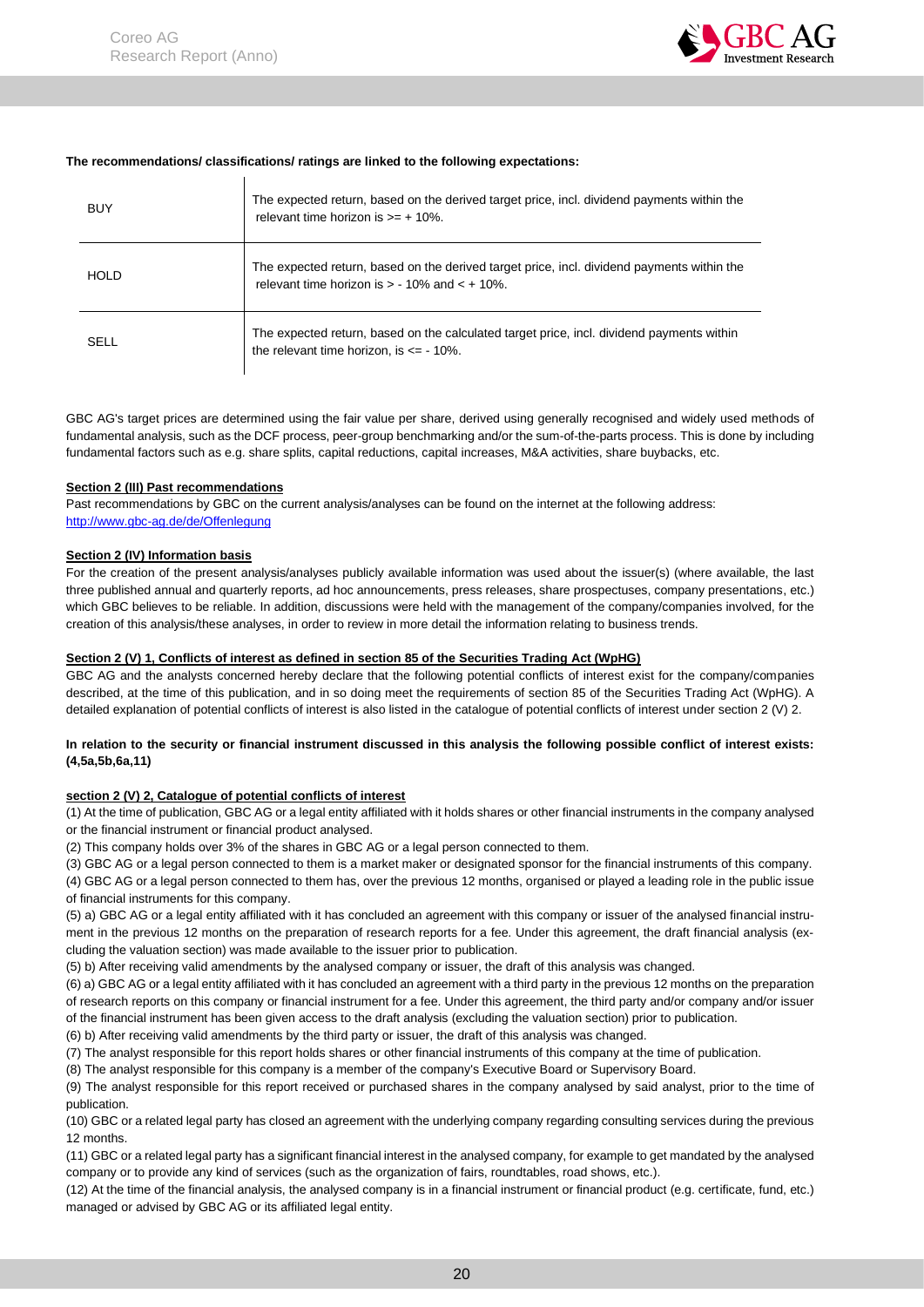

#### **The recommendations/ classifications/ ratings are linked to the following expectations:**

| BUY         | The expected return, based on the derived target price, incl. dividend payments within the<br>relevant time horizon is $\geq$ + 10%.             |
|-------------|--------------------------------------------------------------------------------------------------------------------------------------------------|
| <b>HOLD</b> | The expected return, based on the derived target price, incl. dividend payments within the<br>relevant time horizon is $> -10\%$ and $< +10\%$ . |
| <b>SELL</b> | The expected return, based on the calculated target price, incl. dividend payments within<br>the relevant time horizon, is $\epsilon$ = - 10%.   |

GBC AG's target prices are determined using the fair value per share, derived using generally recognised and widely used methods of fundamental analysis, such as the DCF process, peer-group benchmarking and/or the sum-of-the-parts process. This is done by including fundamental factors such as e.g. share splits, capital reductions, capital increases, M&A activities, share buybacks, etc.

#### **Section 2 (III) Past recommendations**

Past recommendations by GBC on the current analysis/analyses can be found on the internet at the following address: [http://www.gbc-ag.de/de/Offenlegung](http://www.gbc-ag.de/de/Offenlegung.htm)

#### **Section 2 (IV) Information basis**

For the creation of the present analysis/analyses publicly available information was used about the issuer(s) (where available, the last three published annual and quarterly reports, ad hoc announcements, press releases, share prospectuses, company presentations, etc.) which GBC believes to be reliable. In addition, discussions were held with the management of the company/companies involved, for the creation of this analysis/these analyses, in order to review in more detail the information relating to business trends.

#### **Section 2 (V) 1, Conflicts of interest as defined in section 85 of the Securities Trading Act (WpHG)**

GBC AG and the analysts concerned hereby declare that the following potential conflicts of interest exist for the company/companies described, at the time of this publication, and in so doing meet the requirements of section 85 of the Securities Trading Act (WpHG). A detailed explanation of potential conflicts of interest is also listed in the catalogue of potential conflicts of interest under section 2 (V) 2.

#### **In relation to the security or financial instrument discussed in this analysis the following possible conflict of interest exists: (4,5a,5b,6a,11)**

### **section 2 (V) 2, Catalogue of potential conflicts of interest**

(1) At the time of publication, GBC AG or a legal entity affiliated with it holds shares or other financial instruments in the company analysed or the financial instrument or financial product analysed.

(2) This company holds over 3% of the shares in GBC AG or a legal person connected to them.

(3) GBC AG or a legal person connected to them is a market maker or designated sponsor for the financial instruments of this company.

(4) GBC AG or a legal person connected to them has, over the previous 12 months, organised or played a leading role in the public issue of financial instruments for this company.

(5) a) GBC AG or a legal entity affiliated with it has concluded an agreement with this company or issuer of the analysed financial instrument in the previous 12 months on the preparation of research reports for a fee. Under this agreement, the draft financial analysis (excluding the valuation section) was made available to the issuer prior to publication.

(5) b) After receiving valid amendments by the analysed company or issuer, the draft of this analysis was changed.

(6) a) GBC AG or a legal entity affiliated with it has concluded an agreement with a third party in the previous 12 months on the preparation of research reports on this company or financial instrument for a fee. Under this agreement, the third party and/or company and/or issuer of the financial instrument has been given access to the draft analysis (excluding the valuation section) prior to publication.

(6) b) After receiving valid amendments by the third party or issuer, the draft of this analysis was changed.

(7) The analyst responsible for this report holds shares or other financial instruments of this company at the time of publication.

(8) The analyst responsible for this company is a member of the company's Executive Board or Supervisory Board.

(9) The analyst responsible for this report received or purchased shares in the company analysed by said analyst, prior to the time of publication.

(10) GBC or a related legal party has closed an agreement with the underlying company regarding consulting services during the previous 12 months.

(11) GBC or a related legal party has a significant financial interest in the analysed company, for example to get mandated by the analysed company or to provide any kind of services (such as the organization of fairs, roundtables, road shows, etc.).

(12) At the time of the financial analysis, the analysed company is in a financial instrument or financial product (e.g. certificate, fund, etc.) managed or advised by GBC AG or its affiliated legal entity.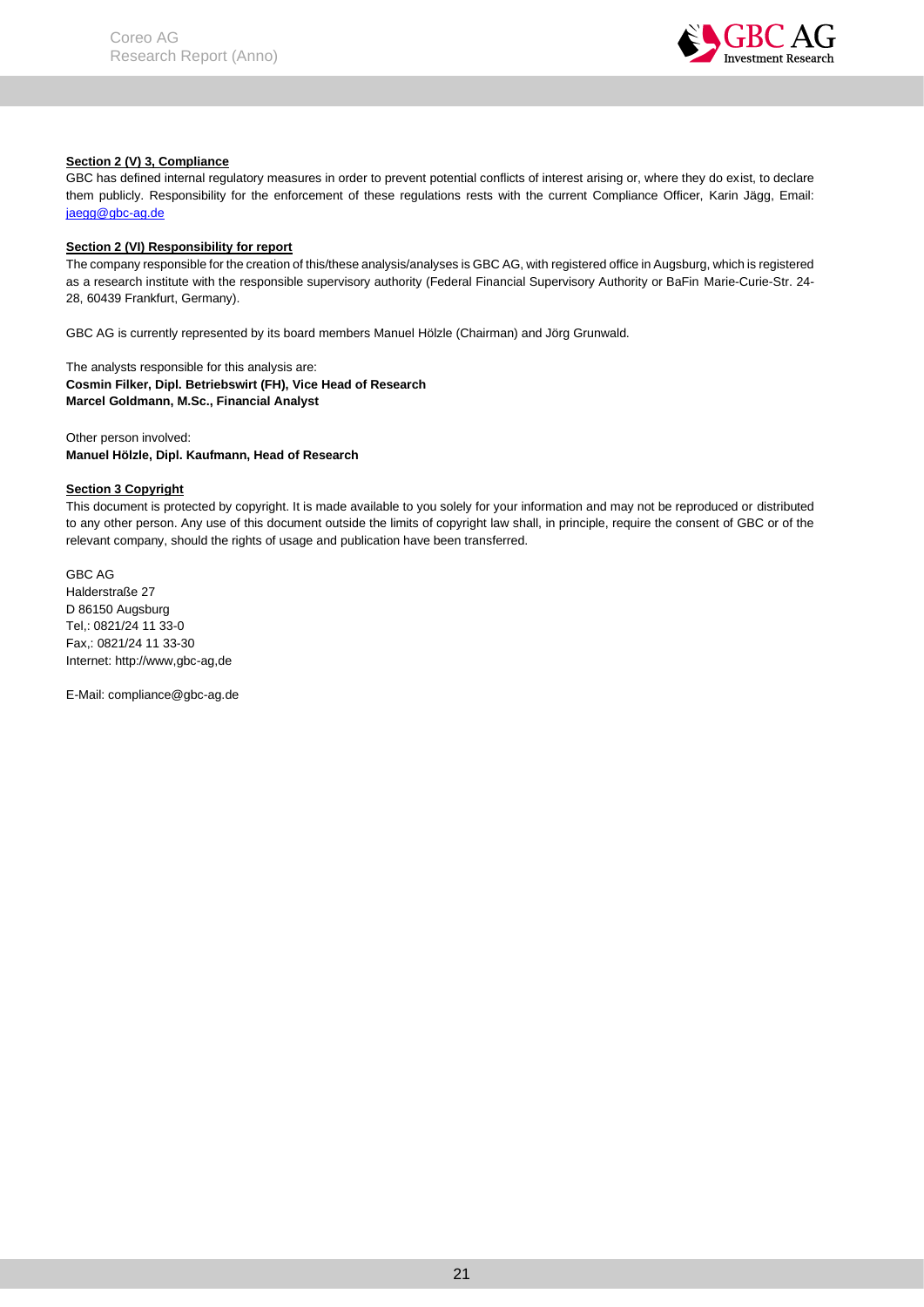

### **Section 2 (V) 3, Compliance**

GBC has defined internal regulatory measures in order to prevent potential conflicts of interest arising or, where they do exist, to declare them publicly. Responsibility for the enforcement of these regulations rests with the current Compliance Officer, Karin Jägg, Email: jaegg@gbc-ag.de

#### **Section 2 (VI) Responsibility for report**

The company responsible for the creation of this/these analysis/analyses is GBC AG, with registered office in Augsburg, which is registered as a research institute with the responsible supervisory authority (Federal Financial Supervisory Authority or BaFin Marie-Curie-Str. 24- 28, 60439 Frankfurt, Germany).

GBC AG is currently represented by its board members Manuel Hölzle (Chairman) and Jörg Grunwald.

The analysts responsible for this analysis are: **Cosmin Filker, Dipl. Betriebswirt (FH), Vice Head of Research Marcel Goldmann, M.Sc., Financial Analyst**

Other person involved: **Manuel Hölzle, Dipl. Kaufmann, Head of Research**

## **Section 3 Copyright**

This document is protected by copyright. It is made available to you solely for your information and may not be reproduced or distributed to any other person. Any use of this document outside the limits of copyright law shall, in principle, require the consent of GBC or of the relevant company, should the rights of usage and publication have been transferred.

GBC AG Halderstraße 27 D 86150 Augsburg Tel,: 0821/24 11 33-0 Fax,: 0821/24 11 33-30 Internet: http://www,gbc-ag,de

E-Mail: compliance@gbc-ag.de